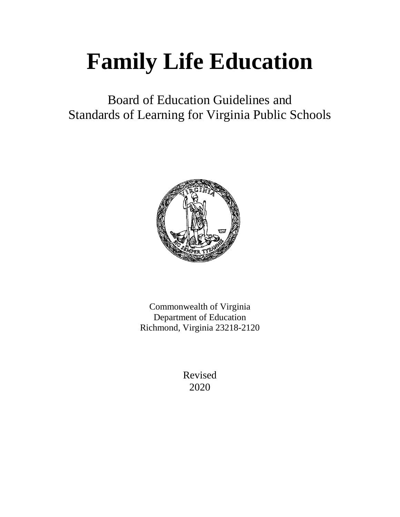# **Family Life Education**

Board of Education Guidelines and Standards of Learning for Virginia Public Schools



Commonwealth of Virginia Department of Education Richmond, Virginia 23218-2120

> Revised 2020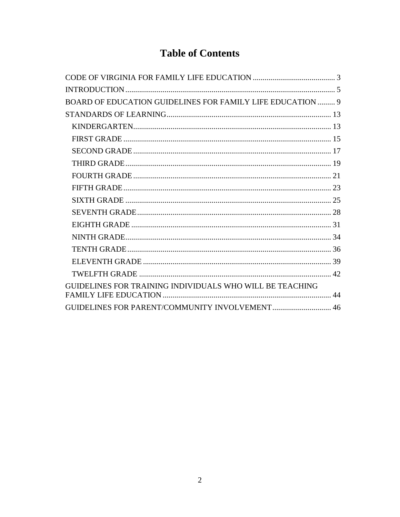## **Table of Contents**

| <b>BOARD OF EDUCATION GUIDELINES FOR FAMILY LIFE EDUCATION  9</b> |  |
|-------------------------------------------------------------------|--|
|                                                                   |  |
|                                                                   |  |
|                                                                   |  |
|                                                                   |  |
|                                                                   |  |
|                                                                   |  |
|                                                                   |  |
|                                                                   |  |
|                                                                   |  |
|                                                                   |  |
|                                                                   |  |
|                                                                   |  |
|                                                                   |  |
|                                                                   |  |
| GUIDELINES FOR TRAINING INDIVIDUALS WHO WILL BE TEACHING          |  |
| <b>GUIDELINES FOR PARENT/COMMUNITY INVOLVEMENT 46</b>             |  |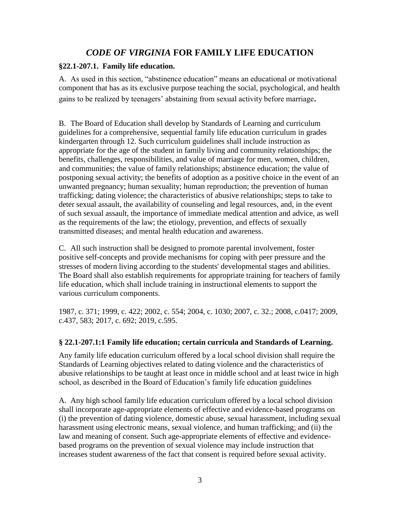## *CODE OF VIRGINIA* **FOR FAMILY LIFE EDUCATION**

#### <span id="page-2-0"></span>**§22.1-207.1. Family life education.**

A. As used in this section, "abstinence education" means an educational or motivational component that has as its exclusive purpose teaching the social, psychological, and health gains to be realized by teenagers' abstaining from sexual activity before marriage**.**

B. The Board of Education shall develop by Standards of Learning and curriculum guidelines for a comprehensive, sequential family life education curriculum in grades kindergarten through 12. Such curriculum guidelines shall include instruction as appropriate for the age of the student in family living and community relationships; the benefits, challenges, responsibilities, and value of marriage for men, women, children, and communities; the value of family relationships; abstinence education; the value of postponing sexual activity; the benefits of adoption as a positive choice in the event of an unwanted pregnancy; human sexuality; human reproduction; the prevention of human trafficking; dating violence; the characteristics of abusive relationships; steps to take to deter sexual assault, the availability of counseling and legal resources, and, in the event of such sexual assault, the importance of immediate medical attention and advice, as well as the requirements of the law; the etiology, prevention, and effects of sexually transmitted diseases; and mental health education and awareness.

C. All such instruction shall be designed to promote parental involvement, foster positive self-concepts and provide mechanisms for coping with peer pressure and the stresses of modern living according to the students' developmental stages and abilities. The Board shall also establish requirements for appropriate training for teachers of family life education, which shall include training in instructional elements to support the various curriculum components.

1987, c. 371; 1999, c. 422; 2002, c. 554; 2004, c. 1030; 2007, c. 32.; 2008, c.0417; 2009, c.437, 583; 2017, c. 692; 2019, c.595.

#### **§ 22.1-207.1:1 Family life education; certain curricula and Standards of Learning.**

Any family life education curriculum offered by a local school division shall require the Standards of Learning objectives related to dating violence and the characteristics of abusive relationships to be taught at least once in middle school and at least twice in high school, as described in the Board of Education's family life education guidelines

A. Any high school family life education curriculum offered by a local school division shall incorporate age-appropriate elements of effective and evidence-based programs on (i) the prevention of dating violence, domestic abuse, sexual harassment, including sexual harassment using electronic means, sexual violence, and human trafficking; and (ii) the law and meaning of consent. Such age-appropriate elements of effective and evidencebased programs on the prevention of sexual violence may include instruction that increases student awareness of the fact that consent is required before sexual activity.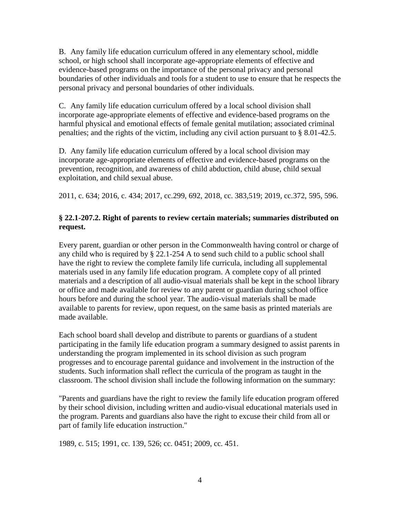B. Any family life education curriculum offered in any elementary school, middle school, or high school shall incorporate age-appropriate elements of effective and evidence-based programs on the importance of the personal privacy and personal boundaries of other individuals and tools for a student to use to ensure that he respects the personal privacy and personal boundaries of other individuals.

C. Any family life education curriculum offered by a local school division shall incorporate age-appropriate elements of effective and evidence-based programs on the harmful physical and emotional effects of female genital mutilation; associated criminal penalties; and the rights of the victim, including any civil action pursuant to § [8.01-42.5.](https://law.lis.virginia.gov/vacode/8.01-42.5/)

D. Any family life education curriculum offered by a local school division may incorporate age-appropriate elements of effective and evidence-based programs on the prevention, recognition, and awareness of child abduction, child abuse, child sexual exploitation, and child sexual abuse.

2011, c. 634; 2016, c. 434; 2017, cc.299, 692, 2018, cc. 383,519; 2019, cc.372, 595, 596.

## **§ 22.1-207.2. Right of parents to review certain materials; summaries distributed on request.**

Every parent, guardian or other person in the Commonwealth having control or charge of any child who is required by § 22.1-254 A to send such child to a public school shall have the right to review the complete family life curricula, including all supplemental materials used in any family life education program. A complete copy of all printed materials and a description of all audio-visual materials shall be kept in the school library or office and made available for review to any parent or guardian during school office hours before and during the school year. The audio-visual materials shall be made available to parents for review, upon request, on the same basis as printed materials are made available.

Each school board shall develop and distribute to parents or guardians of a student participating in the family life education program a summary designed to assist parents in understanding the program implemented in its school division as such program progresses and to encourage parental guidance and involvement in the instruction of the students. Such information shall reflect the curricula of the program as taught in the classroom. The school division shall include the following information on the summary:

"Parents and guardians have the right to review the family life education program offered by their school division, including written and audio-visual educational materials used in the program. Parents and guardians also have the right to excuse their child from all or part of family life education instruction."

1989, c. 515; 1991, cc. 139, 526; cc. 0451; 2009, cc. 451.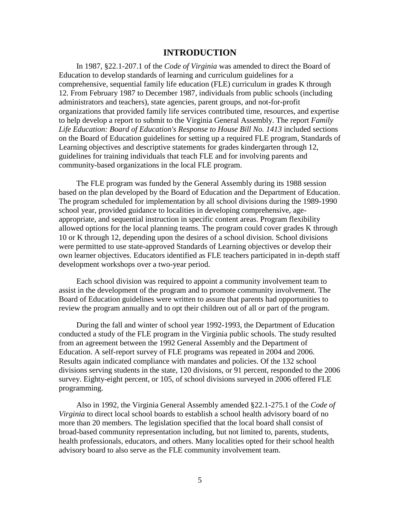#### **INTRODUCTION**

<span id="page-4-0"></span>In 1987, §22.1-207.1 of the *Code of Virginia* was amended to direct the Board of Education to develop standards of learning and curriculum guidelines for a comprehensive, sequential family life education (FLE) curriculum in grades K through 12. From February 1987 to December 1987, individuals from public schools (including administrators and teachers), state agencies, parent groups, and not-for-profit organizations that provided family life services contributed time, resources, and expertise to help develop a report to submit to the Virginia General Assembly. The report *Family Life Education: Board of Education's Response to House Bill No. 1413* included sections on the Board of Education guidelines for setting up a required FLE program, Standards of Learning objectives and descriptive statements for grades kindergarten through 12, guidelines for training individuals that teach FLE and for involving parents and community-based organizations in the local FLE program.

The FLE program was funded by the General Assembly during its 1988 session based on the plan developed by the Board of Education and the Department of Education. The program scheduled for implementation by all school divisions during the 1989-1990 school year, provided guidance to localities in developing comprehensive, ageappropriate, and sequential instruction in specific content areas. Program flexibility allowed options for the local planning teams. The program could cover grades K through 10 or K through 12, depending upon the desires of a school division. School divisions were permitted to use state-approved Standards of Learning objectives or develop their own learner objectives. Educators identified as FLE teachers participated in in-depth staff development workshops over a two-year period.

Each school division was required to appoint a community involvement team to assist in the development of the program and to promote community involvement. The Board of Education guidelines were written to assure that parents had opportunities to review the program annually and to opt their children out of all or part of the program.

During the fall and winter of school year 1992-1993, the Department of Education conducted a study of the FLE program in the Virginia public schools. The study resulted from an agreement between the 1992 General Assembly and the Department of Education. A self-report survey of FLE programs was repeated in 2004 and 2006. Results again indicated compliance with mandates and policies. Of the 132 school divisions serving students in the state, 120 divisions, or 91 percent, responded to the 2006 survey. Eighty-eight percent, or 105, of school divisions surveyed in 2006 offered FLE programming.

Also in 1992, the Virginia General Assembly amended §22.1-275.1 of the *Code of Virginia* to direct local school boards to establish a school health advisory board of no more than 20 members. The legislation specified that the local board shall consist of broad-based community representation including, but not limited to, parents, students, health professionals, educators, and others. Many localities opted for their school health advisory board to also serve as the FLE community involvement team.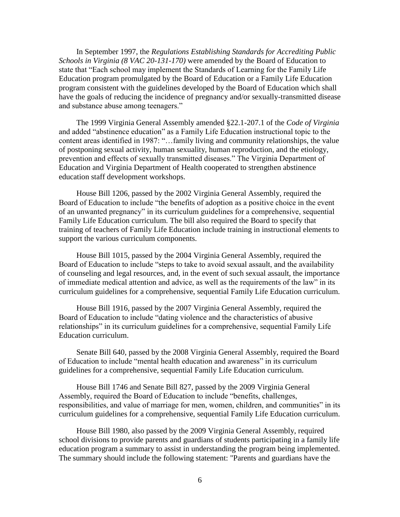In September 1997, the *Regulations Establishing Standards for Accrediting Public Schools in Virginia (8 VAC 20-131-170)* were amended by the Board of Education to state that "Each school may implement the Standards of Learning for the Family Life Education program promulgated by the Board of Education or a Family Life Education program consistent with the guidelines developed by the Board of Education which shall have the goals of reducing the incidence of pregnancy and/or sexually-transmitted disease and substance abuse among teenagers."

The 1999 Virginia General Assembly amended §22.1-207.1 of the *Code of Virginia* and added "abstinence education" as a Family Life Education instructional topic to the content areas identified in 1987: "…family living and community relationships, the value of postponing sexual activity, human sexuality, human reproduction, and the etiology, prevention and effects of sexually transmitted diseases." The Virginia Department of Education and Virginia Department of Health cooperated to strengthen abstinence education staff development workshops.

House Bill 1206, passed by the 2002 Virginia General Assembly, required the Board of Education to include "the benefits of adoption as a positive choice in the event of an unwanted pregnancy" in its curriculum guidelines for a comprehensive, sequential Family Life Education curriculum. The bill also required the Board to specify that training of teachers of Family Life Education include training in instructional elements to support the various curriculum components.

House Bill 1015, passed by the 2004 Virginia General Assembly, required the Board of Education to include "steps to take to avoid sexual assault, and the availability of counseling and legal resources, and, in the event of such sexual assault, the importance of immediate medical attention and advice, as well as the requirements of the law" in its curriculum guidelines for a comprehensive, sequential Family Life Education curriculum.

House Bill 1916, passed by the 2007 Virginia General Assembly, required the Board of Education to include "dating violence and the characteristics of abusive relationships" in its curriculum guidelines for a comprehensive, sequential Family Life Education curriculum.

Senate Bill 640, passed by the 2008 Virginia General Assembly, required the Board of Education to include "mental health education and awareness" in its curriculum guidelines for a comprehensive, sequential Family Life Education curriculum.

House Bill 1746 and Senate Bill 827, passed by the 2009 Virginia General Assembly, required the Board of Education to include "benefits, challenges, responsibilities, and value of marriage for men, women, children, and communities" in its curriculum guidelines for a comprehensive, sequential Family Life Education curriculum.

House Bill 1980, also passed by the 2009 Virginia General Assembly, required school divisions to provide parents and guardians of students participating in a family life education program a summary to assist in understanding the program being implemented. The summary should include the following statement: "Parents and guardians have the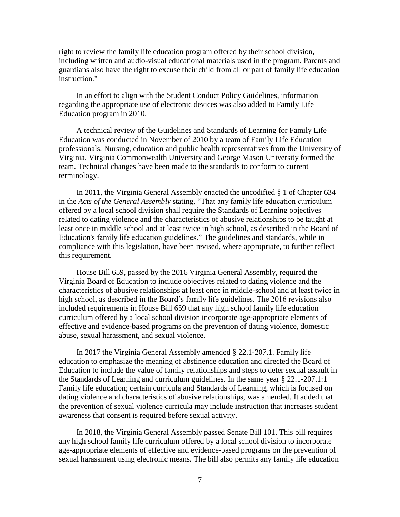right to review the family life education program offered by their school division, including written and audio-visual educational materials used in the program. Parents and guardians also have the right to excuse their child from all or part of family life education instruction."

In an effort to align with the Student Conduct Policy Guidelines, information regarding the appropriate use of electronic devices was also added to Family Life Education program in 2010.

A technical review of the Guidelines and Standards of Learning for Family Life Education was conducted in November of 2010 by a team of Family Life Education professionals. Nursing, education and public health representatives from the University of Virginia, Virginia Commonwealth University and George Mason University formed the team. Technical changes have been made to the standards to conform to current terminology.

In 2011, the Virginia General Assembly enacted the uncodified § 1 of Chapter 634 in the *Acts of the General Assembly* stating, "That any family life education curriculum offered by a local school division shall require the Standards of Learning objectives related to dating violence and the characteristics of abusive relationships to be taught at least once in middle school and at least twice in high school, as described in the Board of Education's family life education guidelines." The guidelines and standards, while in compliance with this legislation, have been revised, where appropriate, to further reflect this requirement.

House Bill 659, passed by the 2016 Virginia General Assembly, required the Virginia Board of Education to include objectives related to dating violence and the characteristics of abusive relationships at least once in middle-school and at least twice in high school, as described in the Board's family life guidelines. The 2016 revisions also included requirements in House Bill 659 that any high school family life education curriculum offered by a local school division incorporate age-appropriate elements of effective and evidence-based programs on the prevention of dating violence, domestic abuse, sexual harassment, and sexual violence.

In 2017 the Virginia General Assembly amended § 22.1-207.1. Family life education to emphasize the meaning of abstinence education and directed the Board of Education to include the value of family relationships and steps to deter sexual assault in the Standards of Learning and curriculum guidelines. In the same year § 22.1-207.1:1 Family life education; certain curricula and Standards of Learning, which is focused on dating violence and characteristics of abusive relationships, was amended. It added that the prevention of sexual violence curricula may include instruction that increases student awareness that consent is required before sexual activity.

In 2018, the Virginia General Assembly passed Senate Bill 101. This bill requires any high school family life curriculum offered by a local school division to incorporate age-appropriate elements of effective and evidence-based programs on the prevention of sexual harassment using electronic means. The bill also permits any family life education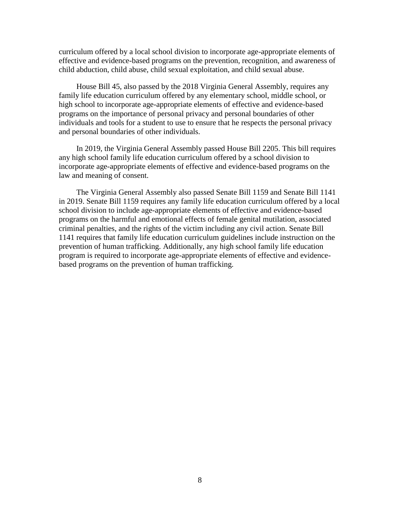curriculum offered by a local school division to incorporate age-appropriate elements of effective and evidence-based programs on the prevention, recognition, and awareness of child abduction, child abuse, child sexual exploitation, and child sexual abuse.

House Bill 45, also passed by the 2018 Virginia General Assembly, requires any family life education curriculum offered by any elementary school, middle school, or high school to incorporate age-appropriate elements of effective and evidence-based programs on the importance of personal privacy and personal boundaries of other individuals and tools for a student to use to ensure that he respects the personal privacy and personal boundaries of other individuals.

In 2019, the Virginia General Assembly passed House Bill 2205. This bill requires any high school family life education curriculum offered by a school division to incorporate age-appropriate elements of effective and evidence-based programs on the law and meaning of consent.

The Virginia General Assembly also passed Senate Bill 1159 and Senate Bill 1141 in 2019. Senate Bill 1159 requires any family life education curriculum offered by a local school division to include age-appropriate elements of effective and evidence-based programs on the harmful and emotional effects of female genital mutilation, associated criminal penalties, and the rights of the victim including any civil action. Senate Bill 1141 requires that family life education curriculum guidelines include instruction on the prevention of human trafficking. Additionally, any high school family life education program is required to incorporate age-appropriate elements of effective and evidencebased programs on the prevention of human trafficking.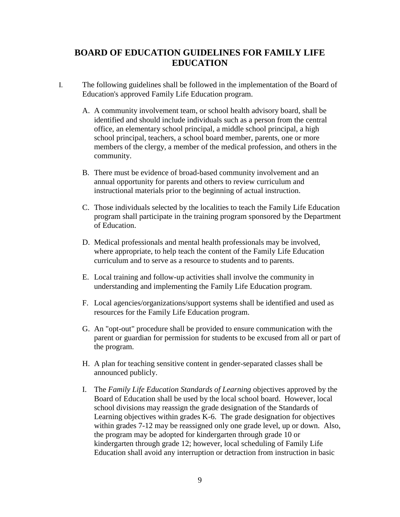## <span id="page-8-0"></span>**BOARD OF EDUCATION GUIDELINES FOR FAMILY LIFE EDUCATION**

- I. The following guidelines shall be followed in the implementation of the Board of Education's approved Family Life Education program.
	- A. A community involvement team, or school health advisory board, shall be identified and should include individuals such as a person from the central office, an elementary school principal, a middle school principal, a high school principal, teachers, a school board member, parents, one or more members of the clergy, a member of the medical profession, and others in the community.
	- B. There must be evidence of broad-based community involvement and an annual opportunity for parents and others to review curriculum and instructional materials prior to the beginning of actual instruction.
	- C. Those individuals selected by the localities to teach the Family Life Education program shall participate in the training program sponsored by the Department of Education.
	- D. Medical professionals and mental health professionals may be involved, where appropriate, to help teach the content of the Family Life Education curriculum and to serve as a resource to students and to parents.
	- E. Local training and follow-up activities shall involve the community in understanding and implementing the Family Life Education program.
	- F. Local agencies/organizations/support systems shall be identified and used as resources for the Family Life Education program.
	- G. An "opt-out" procedure shall be provided to ensure communication with the parent or guardian for permission for students to be excused from all or part of the program.
	- H. A plan for teaching sensitive content in gender-separated classes shall be announced publicly.
	- I. The *Family Life Education Standards of Learning* objectives approved by the Board of Education shall be used by the local school board. However, local school divisions may reassign the grade designation of the Standards of Learning objectives within grades K-6. The grade designation for objectives within grades 7-12 may be reassigned only one grade level, up or down. Also, the program may be adopted for kindergarten through grade 10 or kindergarten through grade 12; however, local scheduling of Family Life Education shall avoid any interruption or detraction from instruction in basic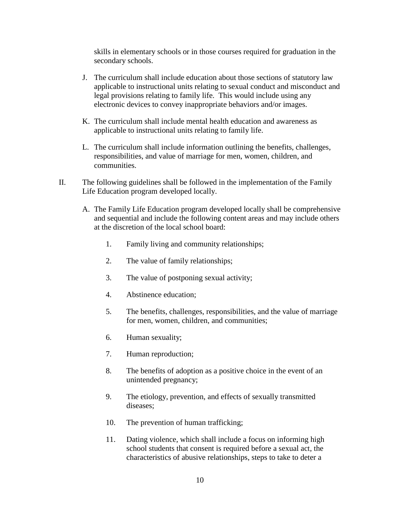skills in elementary schools or in those courses required for graduation in the secondary schools.

- J. The curriculum shall include education about those sections of statutory law applicable to instructional units relating to sexual conduct and misconduct and legal provisions relating to family life. This would include using any electronic devices to convey inappropriate behaviors and/or images.
- K. The curriculum shall include mental health education and awareness as applicable to instructional units relating to family life.
- L. The curriculum shall include information outlining the benefits, challenges, responsibilities, and value of marriage for men, women, children, and communities.
- II. The following guidelines shall be followed in the implementation of the Family Life Education program developed locally.
	- A. The Family Life Education program developed locally shall be comprehensive and sequential and include the following content areas and may include others at the discretion of the local school board:
		- 1. Family living and community relationships;
		- 2. The value of family relationships;
		- 3. The value of postponing sexual activity;
		- 4. Abstinence education;
		- 5. The benefits, challenges, responsibilities, and the value of marriage for men, women, children, and communities;
		- 6. Human sexuality;
		- 7. Human reproduction;
		- 8. The benefits of adoption as a positive choice in the event of an unintended pregnancy;
		- 9. The etiology, prevention, and effects of sexually transmitted diseases;
		- 10. The prevention of human trafficking;
		- 11. Dating violence, which shall include a focus on informing high school students that consent is required before a sexual act, the characteristics of abusive relationships, steps to take to deter a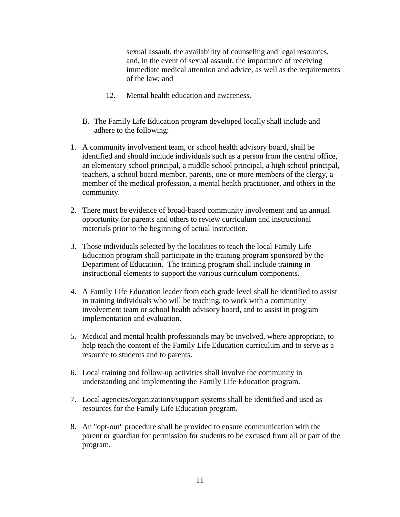sexual assault, the availability of counseling and legal resources, and, in the event of sexual assault, the importance of receiving immediate medical attention and advice, as well as the requirements of the law; and

- 12. Mental health education and awareness.
- B. The Family Life Education program developed locally shall include and adhere to the following:
- 1. A community involvement team, or school health advisory board, shall be identified and should include individuals such as a person from the central office, an elementary school principal, a middle school principal, a high school principal, teachers, a school board member, parents, one or more members of the clergy, a member of the medical profession, a mental health practitioner, and others in the community.
- 2. There must be evidence of broad-based community involvement and an annual opportunity for parents and others to review curriculum and instructional materials prior to the beginning of actual instruction.
- 3. Those individuals selected by the localities to teach the local Family Life Education program shall participate in the training program sponsored by the Department of Education. The training program shall include training in instructional elements to support the various curriculum components.
- 4. A Family Life Education leader from each grade level shall be identified to assist in training individuals who will be teaching, to work with a community involvement team or school health advisory board, and to assist in program implementation and evaluation.
- 5. Medical and mental health professionals may be involved, where appropriate, to help teach the content of the Family Life Education curriculum and to serve as a resource to students and to parents.
- 6. Local training and follow-up activities shall involve the community in understanding and implementing the Family Life Education program.
- 7. Local agencies/organizations/support systems shall be identified and used as resources for the Family Life Education program.
- 8. An "opt-out" procedure shall be provided to ensure communication with the parent or guardian for permission for students to be excused from all or part of the program.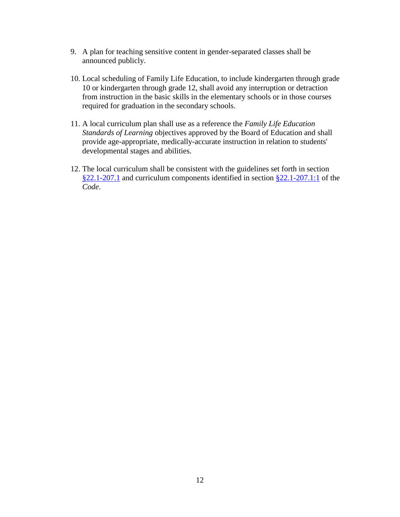- 9. A plan for teaching sensitive content in gender-separated classes shall be announced publicly.
- 10. Local scheduling of Family Life Education, to include kindergarten through grade 10 or kindergarten through grade 12, shall avoid any interruption or detraction from instruction in the basic skills in the elementary schools or in those courses required for graduation in the secondary schools.
- 11. A local curriculum plan shall use as a reference the *Family Life Education Standards of Learning* objectives approved by the Board of Education and shall provide age-appropriate, medically-accurate instruction in relation to students' developmental stages and abilities.
- 12. The local curriculum shall be consistent with the guidelines set forth in section [§22.1-207.1](https://law.lis.virginia.gov/vacode/title22.1/chapter13/section22.1-207.1/) and curriculum components identified in section [§22.1-207.1:1](https://law.lis.virginia.gov/vacode/title22.1/chapter13/section22.1-207.1:1/) of the *Code*.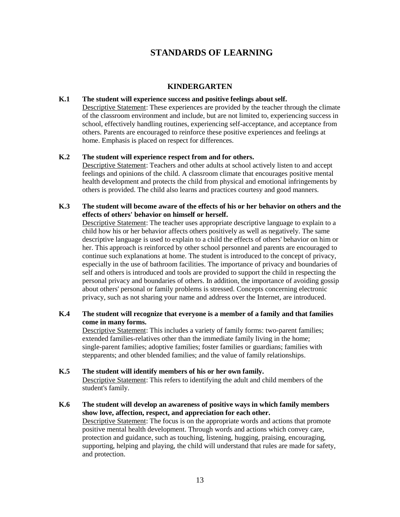## **STANDARDS OF LEARNING**

#### **KINDERGARTEN**

#### <span id="page-12-1"></span><span id="page-12-0"></span>**K.1 The student will experience success and positive feelings about self.**

Descriptive Statement: These experiences are provided by the teacher through the climate of the classroom environment and include, but are not limited to, experiencing success in school, effectively handling routines, experiencing self-acceptance, and acceptance from others. Parents are encouraged to reinforce these positive experiences and feelings at home. Emphasis is placed on respect for differences.

#### **K.2 The student will experience respect from and for others.**

Descriptive Statement: Teachers and other adults at school actively listen to and accept feelings and opinions of the child. A classroom climate that encourages positive mental health development and protects the child from physical and emotional infringements by others is provided. The child also learns and practices courtesy and good manners.

#### **K.3 The student will become aware of the effects of his or her behavior on others and the effects of others' behavior on himself or herself.**

Descriptive Statement: The teacher uses appropriate descriptive language to explain to a child how his or her behavior affects others positively as well as negatively. The same descriptive language is used to explain to a child the effects of others' behavior on him or her. This approach is reinforced by other school personnel and parents are encouraged to continue such explanations at home. The student is introduced to the concept of privacy, especially in the use of bathroom facilities. The importance of privacy and boundaries of self and others is introduced and tools are provided to support the child in respecting the personal privacy and boundaries of others. In addition, the importance of avoiding gossip about others' personal or family problems is stressed. Concepts concerning electronic privacy, such as not sharing your name and address over the Internet, are introduced.

#### **K.4 The student will recognize that everyone is a member of a family and that families come in many forms.**

Descriptive Statement: This includes a variety of family forms: two-parent families; extended families-relatives other than the immediate family living in the home; single-parent families; adoptive families; foster families or guardians; families with stepparents; and other blended families; and the value of family relationships.

- **K.5 The student will identify members of his or her own family.**  Descriptive Statement: This refers to identifying the adult and child members of the student's family.
- **K.6 The student will develop an awareness of positive ways in which family members show love, affection, respect, and appreciation for each other.** Descriptive Statement: The focus is on the appropriate words and actions that promote positive mental health development. Through words and actions which convey care, protection and guidance, such as touching, listening, hugging, praising, encouraging, supporting, helping and playing, the child will understand that rules are made for safety, and protection.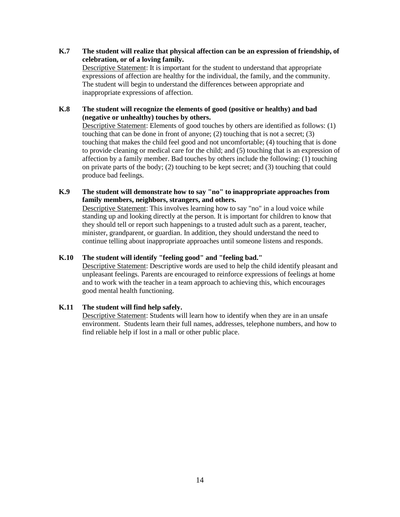**K.7 The student will realize that physical affection can be an expression of friendship, of celebration, or of a loving family.**  Descriptive Statement: It is important for the student to understand that appropriate expressions of affection are healthy for the individual, the family, and the community. The student will begin to understand the differences between appropriate and inappropriate expressions of affection.

#### **K.8 The student will recognize the elements of good (positive or healthy) and bad (negative or unhealthy) touches by others.**

Descriptive Statement: Elements of good touches by others are identified as follows: (1) touching that can be done in front of anyone; (2) touching that is not a secret; (3) touching that makes the child feel good and not uncomfortable; (4) touching that is done to provide cleaning or medical care for the child; and (5) touching that is an expression of affection by a family member. Bad touches by others include the following: (1) touching on private parts of the body; (2) touching to be kept secret; and (3) touching that could produce bad feelings.

#### **K.9 The student will demonstrate how to say "no" to inappropriate approaches from family members, neighbors, strangers, and others.**

Descriptive Statement: This involves learning how to say "no" in a loud voice while standing up and looking directly at the person. It is important for children to know that they should tell or report such happenings to a trusted adult such as a parent, teacher, minister, grandparent, or guardian. In addition, they should understand the need to continue telling about inappropriate approaches until someone listens and responds.

#### **K.10 The student will identify "feeling good" and "feeling bad."**

Descriptive Statement: Descriptive words are used to help the child identify pleasant and unpleasant feelings. Parents are encouraged to reinforce expressions of feelings at home and to work with the teacher in a team approach to achieving this, which encourages good mental health functioning.

#### **K.11 The student will find help safely.**

Descriptive Statement: Students will learn how to identify when they are in an unsafe environment. Students learn their full names, addresses, telephone numbers, and how to find reliable help if lost in a mall or other public place.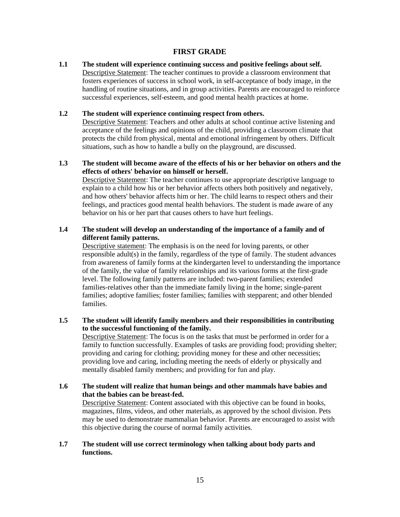#### **FIRST GRADE**

<span id="page-14-0"></span>**1.1 The student will experience continuing success and positive feelings about self.**  Descriptive Statement: The teacher continues to provide a classroom environment that fosters experiences of success in school work, in self-acceptance of body image, in the handling of routine situations, and in group activities. Parents are encouraged to reinforce successful experiences*,* self-esteem, and good mental health practices at home.

#### **1.2 The student will experience continuing respect from others.**

Descriptive Statement: Teachers and other adults at school continue active listening and acceptance of the feelings and opinions of the child, providing a classroom climate that protects the child from physical, mental and emotional infringement by others. Difficult situations, such as how to handle a bully on the playground, are discussed.

#### **1.3 The student will become aware of the effects of his or her behavior on others and the effects of others' behavior on himself or herself.**

Descriptive Statement: The teacher continues to use appropriate descriptive language to explain to a child how his or her behavior affects others both positively and negatively, and how others' behavior affects him or her. The child learns to respect others and their feelings, and practices good mental health behaviors. The student is made aware of any behavior on his or her part that causes others to have hurt feelings.

#### **1.4 The student will develop an understanding of the importance of a family and of different family patterns.**

Descriptive statement: The emphasis is on the need for loving parents, or other responsible adult(s) in the family, regardless of the type of family. The student advances from awareness of family forms at the kindergarten level to understanding the importance of the family, the value of family relationships and its various forms at the first-grade level. The following family patterns are included: two-parent families; extended families-relatives other than the immediate family living in the home; single-parent families; adoptive families; foster families; families with stepparent; and other blended families.

#### **1.5 The student will identify family members and their responsibilities in contributing to the successful functioning of the family.**

Descriptive Statement: The focus is on the tasks that must be performed in order for a family to function successfully. Examples of tasks are providing food; providing shelter; providing and caring for clothing; providing money for these and other necessities; providing love and caring, including meeting the needs of elderly or physically and mentally disabled family members; and providing for fun and play.

## **1.6 The student will realize that human beings and other mammals have babies and that the babies can be breast-fed.** Descriptive Statement: Content associated with this objective can be found in books,

magazines, films, videos, and other materials, as approved by the school division. Pets may be used to demonstrate mammalian behavior. Parents are encouraged to assist with this objective during the course of normal family activities.

#### **1.7 The student will use correct terminology when talking about body parts and functions.**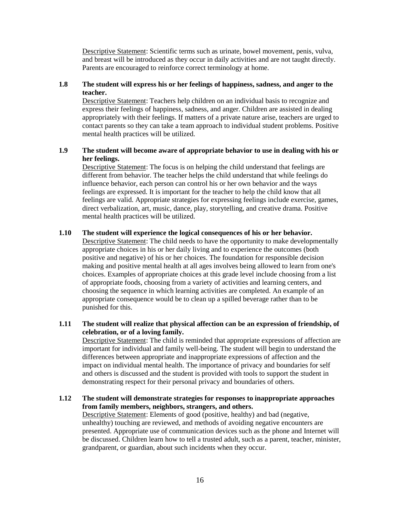Descriptive Statement: Scientific terms such as urinate, bowel movement, penis, vulva, and breast will be introduced as they occur in daily activities and are not taught directly. Parents are encouraged to reinforce correct terminology at home.

#### **1.8 The student will express his or her feelings of happiness, sadness, and anger to the teacher.**

Descriptive Statement: Teachers help children on an individual basis to recognize and express their feelings of happiness, sadness, and anger. Children are assisted in dealing appropriately with their feelings. If matters of a private nature arise, teachers are urged to contact parents so they can take a team approach to individual student problems. Positive mental health practices will be utilized.

#### **1.9 The student will become aware of appropriate behavior to use in dealing with his or her feelings.**

Descriptive Statement: The focus is on helping the child understand that feelings are different from behavior. The teacher helps the child understand that while feelings do influence behavior, each person can control his or her own behavior and the ways feelings are expressed. It is important for the teacher to help the child know that all feelings are valid. Appropriate strategies for expressing feelings include exercise, games, direct verbalization, art, music, dance, play, storytelling, and creative drama. Positive mental health practices will be utilized.

#### **1.10 The student will experience the logical consequences of his or her behavior.**

Descriptive Statement: The child needs to have the opportunity to make developmentally appropriate choices in his or her daily living and to experience the outcomes (both positive and negative) of his or her choices. The foundation for responsible decision making and positive mental health at all ages involves being allowed to learn from one's choices. Examples of appropriate choices at this grade level include choosing from a list of appropriate foods, choosing from a variety of activities and learning centers, and choosing the sequence in which learning activities are completed. An example of an appropriate consequence would be to clean up a spilled beverage rather than to be punished for this.

#### **1.11 The student will realize that physical affection can be an expression of friendship, of celebration, or of a loving family.**

Descriptive Statement: The child is reminded that appropriate expressions of affection are important for individual and family well-being. The student will begin to understand the differences between appropriate and inappropriate expressions of affection and the impact on individual mental health. The importance of privacy and boundaries for self and others is discussed and the student is provided with tools to support the student in demonstrating respect for their personal privacy and boundaries of others.

#### **1.12 The student will demonstrate strategies for responses to inappropriate approaches from family members, neighbors, strangers, and others.**

Descriptive Statement: Elements of good (positive, healthy) and bad (negative, unhealthy) touching are reviewed, and methods of avoiding negative encounters are presented. Appropriate use of communication devices such as the phone and Internet will be discussed. Children learn how to tell a trusted adult, such as a parent, teacher, minister, grandparent, or guardian, about such incidents when they occur.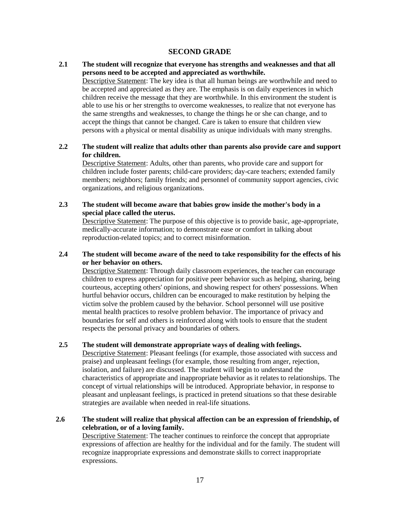#### **SECOND GRADE**

## <span id="page-16-0"></span>**2.1 The student will recognize that everyone has strengths and weaknesses and that all persons need to be accepted and appreciated as worthwhile.**

Descriptive Statement: The key idea is that all human beings are worthwhile and need to be accepted and appreciated as they are. The emphasis is on daily experiences in which children receive the message that they are worthwhile. In this environment the student is able to use his or her strengths to overcome weaknesses, to realize that not everyone has the same strengths and weaknesses, to change the things he or she can change, and to accept the things that cannot be changed. Care is taken to ensure that children view persons with a physical or mental disability as unique individuals with many strengths.

#### **2.2 The student will realize that adults other than parents also provide care and support for children.**

Descriptive Statement: Adults, other than parents, who provide care and support for children include foster parents; child-care providers; day-care teachers; extended family members; neighbors; family friends; and personnel of community support agencies, civic organizations, and religious organizations.

## **2.3 The student will become aware that babies grow inside the mother's body in a special place called the uterus.** Descriptive Statement: The purpose of this objective is to provide basic, age-appropriate,

medically-accurate information; to demonstrate ease or comfort in talking about reproduction-related topics; and to correct misinformation.

#### **2.4 The student will become aware of the need to take responsibility for the effects of his or her behavior on others.**

Descriptive Statement: Through daily classroom experiences, the teacher can encourage children to express appreciation for positive peer behavior such as helping, sharing, being courteous, accepting others' opinions, and showing respect for others' possessions. When hurtful behavior occurs, children can be encouraged to make restitution by helping the victim solve the problem caused by the behavior. School personnel will use positive mental health practices to resolve problem behavior. The importance of privacy and boundaries for self and others is reinforced along with tools to ensure that the student respects the personal privacy and boundaries of others.

#### **2.5 The student will demonstrate appropriate ways of dealing with feelings.**

Descriptive Statement: Pleasant feelings (for example, those associated with success and praise) and unpleasant feelings (for example, those resulting from anger, rejection, isolation, and failure) are discussed. The student will begin to understand the characteristics of appropriate and inappropriate behavior as it relates to relationships. The concept of virtual relationships will be introduced. Appropriate behavior, in response to pleasant and unpleasant feelings, is practiced in pretend situations so that these desirable strategies are available when needed in real-life situations.

#### **2.6 The student will realize that physical affection can be an expression of friendship, of celebration, or of a loving family.**

Descriptive Statement: The teacher continues to reinforce the concept that appropriate expressions of affection are healthy for the individual and for the family. The student will recognize inappropriate expressions and demonstrate skills to correct inappropriate expressions.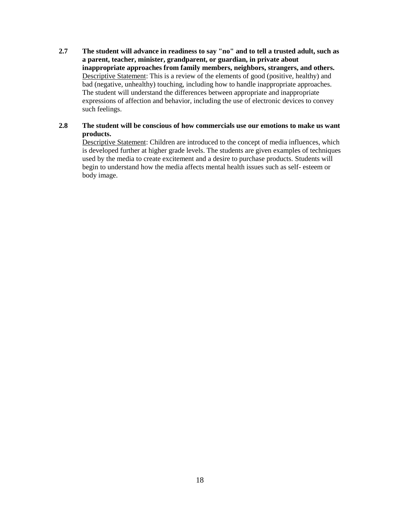**2.7 The student will advance in readiness to say "no" and to tell a trusted adult, such as a parent, teacher, minister, grandparent, or guardian, in private about inappropriate approaches from family members, neighbors, strangers, and others.** Descriptive Statement: This is a review of the elements of good (positive, healthy) and bad (negative, unhealthy) touching, including how to handle inappropriate approaches. The student will understand the differences between appropriate and inappropriate expressions of affection and behavior, including the use of electronic devices to convey such feelings.

#### **2.8 The student will be conscious of how commercials use our emotions to make us want products.**

Descriptive Statement: Children are introduced to the concept of media influences, which is developed further at higher grade levels. The students are given examples of techniques used by the media to create excitement and a desire to purchase products. Students will begin to understand how the media affects mental health issues such as self- esteem or body image.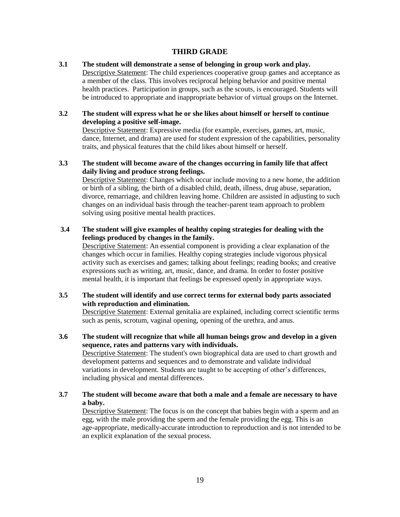#### **THIRD GRADE**

<span id="page-18-0"></span>**3.1 The student will demonstrate a sense of belonging in group work and play.** Descriptive Statement: The child experiences cooperative group games and acceptance as a member of the class. This involves reciprocal helping behavior and positive mental health practices. Participation in groups, such as the scouts, is encouraged. Students will be introduced to appropriate and inappropriate behavior of virtual groups on the Internet.

#### **3.2 The student will express what he or she likes about himself or herself to continue developing a positive self-image.**

Descriptive Statement: Expressive media (for example, exercises, games, art, music, dance, Internet, and drama) are used for student expression of the capabilities, personality traits, and physical features that the child likes about himself or herself.

#### **3.3 The student will become aware of the changes occurring in family life that affect daily living and produce strong feelings.**

Descriptive Statement: Changes which occur include moving to a new home, the addition or birth of a sibling, the birth of a disabled child, death, illness, drug abuse, separation, divorce, remarriage, and children leaving home. Children are assisted in adjusting to such changes on an individual basis through the teacher-parent team approach to problem solving using positive mental health practices.

#### **3.4 The student will give examples of healthy coping strategies for dealing with the feelings produced by changes in the family.**

Descriptive Statement: An essential component is providing a clear explanation of the changes which occur in families. Healthy coping strategies include vigorous physical activity such as exercises and games; talking about feelings; reading books; and creative expressions such as writing, art, music, dance, and drama. In order to foster positive mental health, it is important that feelings be expressed openly in appropriate ways.

#### **3.5 The student will identify and use correct terms for external body parts associated with reproduction and elimination.**

Descriptive Statement: External genitalia are explained, including correct scientific terms such as penis, scrotum, vaginal opening, opening of the urethra, and anus.

#### **3.6 The student will recognize that while all human beings grow and develop in a given sequence, rates and patterns vary with individuals.**

Descriptive Statement: The student's own biographical data are used to chart growth and development patterns and sequences and to demonstrate and validate individual variations in development. Students are taught to be accepting of other's differences, including physical and mental differences.

#### **3.7 The student will become aware that both a male and a female are necessary to have a baby.**

Descriptive Statement: The focus is on the concept that babies begin with a sperm and an egg, with the male providing the sperm and the female providing the egg. This is an age-appropriate, medically-accurate introduction to reproduction and is not intended to be an explicit explanation of the sexual process.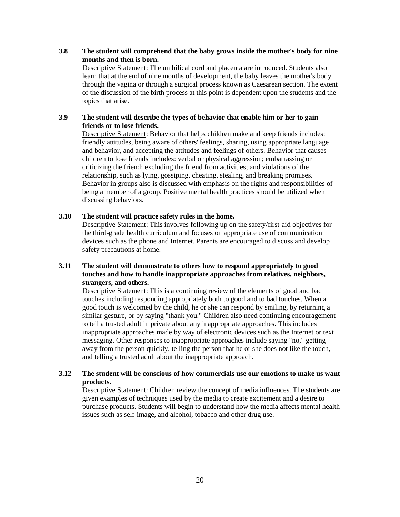**3.8 The student will comprehend that the baby grows inside the mother's body for nine months and then is born.**

Descriptive Statement: The umbilical cord and placenta are introduced. Students also learn that at the end of nine months of development, the baby leaves the mother's body through the vagina or through a surgical process known as Caesarean section. The extent of the discussion of the birth process at this point is dependent upon the students and the topics that arise.

#### **3.9 The student will describe the types of behavior that enable him or her to gain friends or to lose friends.**

Descriptive Statement: Behavior that helps children make and keep friends includes: friendly attitudes, being aware of others' feelings, sharing, using appropriate language and behavior, and accepting the attitudes and feelings of others. Behavior that causes children to lose friends includes: verbal or physical aggression; embarrassing or criticizing the friend; excluding the friend from activities; and violations of the relationship, such as lying, gossiping, cheating, stealing, and breaking promises. Behavior in groups also is discussed with emphasis on the rights and responsibilities of being a member of a group. Positive mental health practices should be utilized when discussing behaviors.

#### **3.10 The student will practice safety rules in the home.**

Descriptive Statement: This involves following up on the safety/first-aid objectives for the third-grade health curriculum and focuses on appropriate use of communication devices such as the phone and Internet. Parents are encouraged to discuss and develop safety precautions at home.

#### **3.11 The student will demonstrate to others how to respond appropriately to good touches and how to handle inappropriate approaches from relatives, neighbors, strangers, and others.**

Descriptive Statement: This is a continuing review of the elements of good and bad touches including responding appropriately both to good and to bad touches. When a good touch is welcomed by the child, he or she can respond by smiling, by returning a similar gesture, or by saying "thank you." Children also need continuing encouragement to tell a trusted adult in private about any inappropriate approaches. This includes inappropriate approaches made by way of electronic devices such as the Internet or text messaging. Other responses to inappropriate approaches include saying "no," getting away from the person quickly, telling the person that he or she does not like the touch, and telling a trusted adult about the inappropriate approach.

#### **3.12 The student will be conscious of how commercials use our emotions to make us want products.**

Descriptive Statement: Children review the concept of media influences. The students are given examples of techniques used by the media to create excitement and a desire to purchase products. Students will begin to understand how the media affects mental health issues such as self-image, and alcohol, tobacco and other drug use.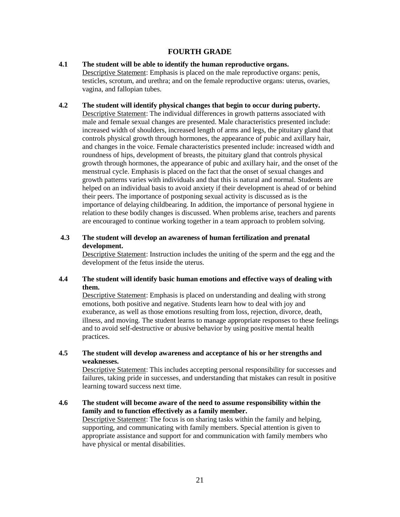#### **FOURTH GRADE**

- <span id="page-20-0"></span>**4.1 The student will be able to identify the human reproductive organs.** Descriptive Statement: Emphasis is placed on the male reproductive organs: penis, testicles, scrotum, and urethra; and on the female reproductive organs: uterus, ovaries, vagina, and fallopian tubes.
- **4.2 The student will identify physical changes that begin to occur during puberty.** Descriptive Statement: The individual differences in growth patterns associated with male and female sexual changes are presented. Male characteristics presented include: increased width of shoulders, increased length of arms and legs, the pituitary gland that controls physical growth through hormones, the appearance of pubic and axillary hair, and changes in the voice. Female characteristics presented include: increased width and roundness of hips, development of breasts, the pituitary gland that controls physical growth through hormones, the appearance of pubic and axillary hair, and the onset of the menstrual cycle. Emphasis is placed on the fact that the onset of sexual changes and growth patterns varies with individuals and that this is natural and normal. Students are helped on an individual basis to avoid anxiety if their development is ahead of or behind their peers. The importance of postponing sexual activity is discussed as is the importance of delaying childbearing. In addition, the importance of personal hygiene in relation to these bodily changes is discussed. When problems arise, teachers and parents are encouraged to continue working together in a team approach to problem solving.
- **4.3 The student will develop an awareness of human fertilization and prenatal development.**

Descriptive Statement: Instruction includes the uniting of the sperm and the egg and the development of the fetus inside the uterus.

#### **4.4 The student will identify basic human emotions and effective ways of dealing with them.**

Descriptive Statement: Emphasis is placed on understanding and dealing with strong emotions, both positive and negative. Students learn how to deal with joy and exuberance, as well as those emotions resulting from loss, rejection, divorce, death, illness, and moving. The student learns to manage appropriate responses to these feelings and to avoid self-destructive or abusive behavior by using positive mental health practices.

**4.5 The student will develop awareness and acceptance of his or her strengths and weaknesses.**

Descriptive Statement: This includes accepting personal responsibility for successes and failures, taking pride in successes, and understanding that mistakes can result in positive learning toward success next time.

**4.6 The student will become aware of the need to assume responsibility within the family and to function effectively as a family member.**

Descriptive Statement: The focus is on sharing tasks within the family and helping, supporting, and communicating with family members. Special attention is given to appropriate assistance and support for and communication with family members who have physical or mental disabilities.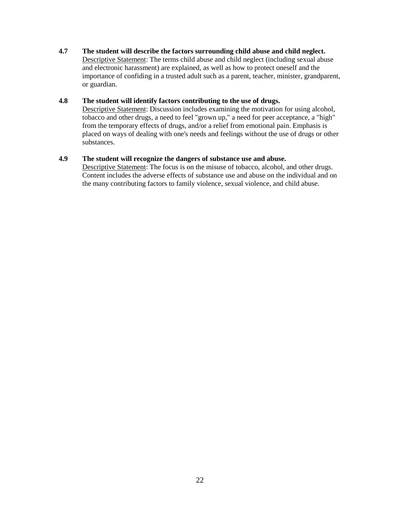#### **4.7 The student will describe the factors surrounding child abuse and child neglect.**

Descriptive Statement: The terms child abuse and child neglect (including sexual abuse and electronic harassment) are explained, as well as how to protect oneself and the importance of confiding in a trusted adult such as a parent, teacher, minister, grandparent, or guardian.

#### **4.8 The student will identify factors contributing to the use of drugs.**

Descriptive Statement: Discussion includes examining the motivation for using alcohol, tobacco and other drugs, a need to feel "grown up," a need for peer acceptance, a "high" from the temporary effects of drugs, and/or a relief from emotional pain. Emphasis is placed on ways of dealing with one's needs and feelings without the use of drugs or other substances.

#### **4.9 The student will recognize the dangers of substance use and abuse.**

Descriptive Statement: The focus is on the misuse of tobacco, alcohol, and other drugs. Content includes the adverse effects of substance use and abuse on the individual and on the many contributing factors to family violence, sexual violence, and child abuse.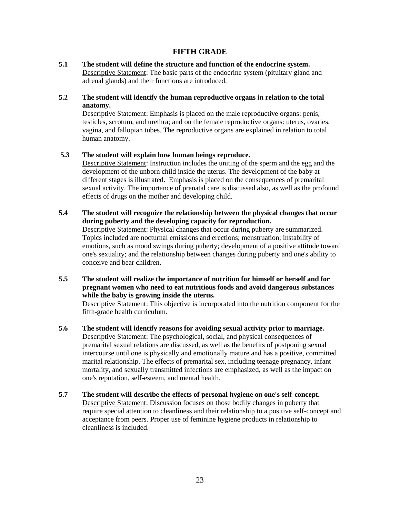#### **FIFTH GRADE**

<span id="page-22-0"></span>**5.1 The student will define the structure and function of the endocrine system.** Descriptive Statement: The basic parts of the endocrine system (pituitary gland and adrenal glands) and their functions are introduced.

#### **5.2 The student will identify the human reproductive organs in relation to the total anatomy.**

Descriptive Statement: Emphasis is placed on the male reproductive organs: penis, testicles, scrotum, and urethra; and on the female reproductive organs: uterus, ovaries, vagina, and fallopian tubes. The reproductive organs are explained in relation to total human anatomy.

#### **5.3 The student will explain how human beings reproduce.**

Descriptive Statement: Instruction includes the uniting of the sperm and the egg and the development of the unborn child inside the uterus. The development of the baby at different stages is illustrated. Emphasis is placed on the consequences of premarital sexual activity. The importance of prenatal care is discussed also, as well as the profound effects of drugs on the mother and developing child.

**5.4 The student will recognize the relationship between the physical changes that occur during puberty and the developing capacity for reproduction.**

Descriptive Statement: Physical changes that occur during puberty are summarized. Topics included are nocturnal emissions and erections; menstruation; instability of emotions, such as mood swings during puberty; development of a positive attitude toward one's sexuality; and the relationship between changes during puberty and one's ability to conceive and bear children.

**5.5 The student will realize the importance of nutrition for himself or herself and for pregnant women who need to eat nutritious foods and avoid dangerous substances while the baby is growing inside the uterus.**

Descriptive Statement: This objective is incorporated into the nutrition component for the fifth-grade health curriculum.

- **5.6 The student will identify reasons for avoiding sexual activity prior to marriage.** Descriptive Statement: The psychological, social, and physical consequences of premarital sexual relations are discussed, as well as the benefits of postponing sexual intercourse until one is physically and emotionally mature and has a positive, committed marital relationship. The effects of premarital sex, including teenage pregnancy, infant mortality, and sexually transmitted infections are emphasized, as well as the impact on one's reputation, self-esteem, and mental health.
- **5.7 The student will describe the effects of personal hygiene on one's self-concept.** Descriptive Statement: Discussion focuses on those bodily changes in puberty that require special attention to cleanliness and their relationship to a positive self-concept and acceptance from peers. Proper use of feminine hygiene products in relationship to cleanliness is included.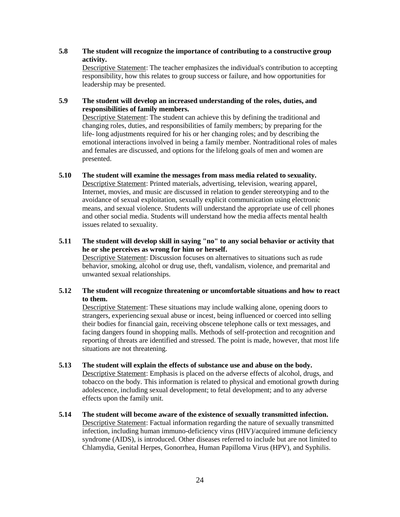#### **5.8 The student will recognize the importance of contributing to a constructive group activity.**

Descriptive Statement: The teacher emphasizes the individual's contribution to accepting responsibility, how this relates to group success or failure, and how opportunities for leadership may be presented.

#### **5.9 The student will develop an increased understanding of the roles, duties, and responsibilities of family members.**

Descriptive Statement: The student can achieve this by defining the traditional and changing roles, duties, and responsibilities of family members; by preparing for the life- long adjustments required for his or her changing roles; and by describing the emotional interactions involved in being a family member. Nontraditional roles of males and females are discussed, and options for the lifelong goals of men and women are presented.

#### **5.10 The student will examine the messages from mass media related to sexuality.** Descriptive Statement: Printed materials, advertising, television, wearing apparel, Internet, movies, and music are discussed in relation to gender stereotyping and to the avoidance of sexual exploitation, sexually explicit communication using electronic means, and sexual violence. Students will understand the appropriate use of cell phones and other social media. Students will understand how the media affects mental health issues related to sexuality.

#### **5.11 The student will develop skill in saying "no" to any social behavior or activity that he or she perceives as wrong for him or herself.** Descriptive Statement: Discussion focuses on alternatives to situations such as rude behavior, smoking, alcohol or drug use, theft, vandalism, violence, and premarital and unwanted sexual relationships.

#### **5.12 The student will recognize threatening or uncomfortable situations and how to react to them.**

Descriptive Statement: These situations may include walking alone, opening doors to strangers, experiencing sexual abuse or incest, being influenced or coerced into selling their bodies for financial gain, receiving obscene telephone calls or text messages, and facing dangers found in shopping malls. Methods of self-protection and recognition and reporting of threats are identified and stressed. The point is made, however, that most life situations are not threatening.

#### **5.13 The student will explain the effects of substance use and abuse on the body.** Descriptive Statement: Emphasis is placed on the adverse effects of alcohol, drugs, and tobacco on the body. This information is related to physical and emotional growth during adolescence, including sexual development; to fetal development; and to any adverse effects upon the family unit.

**5.14 The student will become aware of the existence of sexually transmitted infection.** Descriptive Statement: Factual information regarding the nature of sexually transmitted infection, including human immuno-deficiency virus (HIV)/acquired immune deficiency syndrome (AIDS), is introduced. Other diseases referred to include but are not limited to Chlamydia, Genital Herpes, Gonorrhea, Human Papilloma Virus (HPV), and Syphilis.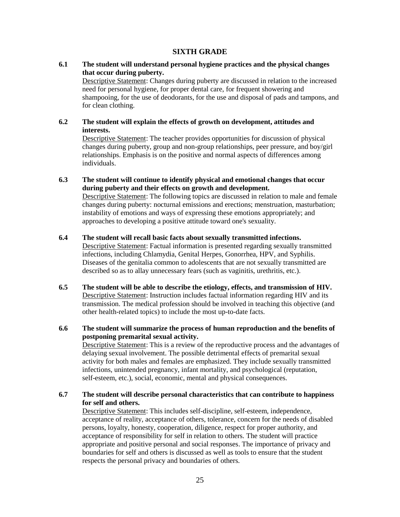#### **SIXTH GRADE**

#### <span id="page-24-0"></span>**6.1 The student will understand personal hygiene practices and the physical changes that occur during puberty.**

Descriptive Statement: Changes during puberty are discussed in relation to the increased need for personal hygiene, for proper dental care, for frequent showering and shampooing, for the use of deodorants, for the use and disposal of pads and tampons, and for clean clothing.

#### **6.2 The student will explain the effects of growth on development, attitudes and interests.**

Descriptive Statement: The teacher provides opportunities for discussion of physical changes during puberty, group and non-group relationships, peer pressure, and boy/girl relationships. Emphasis is on the positive and normal aspects of differences among individuals.

#### **6.3 The student will continue to identify physical and emotional changes that occur during puberty and their effects on growth and development.**

Descriptive Statement: The following topics are discussed in relation to male and female changes during puberty: nocturnal emissions and erections; menstruation, masturbation; instability of emotions and ways of expressing these emotions appropriately; and approaches to developing a positive attitude toward one's sexuality.

#### **6.4 The student will recall basic facts about sexually transmitted infections.**

Descriptive Statement: Factual information is presented regarding sexually transmitted infections, including Chlamydia, Genital Herpes, Gonorrhea, HPV, and Syphilis. Diseases of the genitalia common to adolescents that are not sexually transmitted are described so as to allay unnecessary fears (such as vaginitis, urethritis, etc.).

#### **6.5 The student will be able to describe the etiology, effects, and transmission of HIV.** Descriptive Statement: Instruction includes factual information regarding HIV and its transmission. The medical profession should be involved in teaching this objective (and other health-related topics) to include the most up-to-date facts.

#### **6.6 The student will summarize the process of human reproduction and the benefits of postponing premarital sexual activity.**

Descriptive Statement: This is a review of the reproductive process and the advantages of delaying sexual involvement. The possible detrimental effects of premarital sexual activity for both males and females are emphasized. They include sexually transmitted infections, unintended pregnancy, infant mortality, and psychological (reputation, self-esteem, etc.), social, economic, mental and physical consequences.

#### **6.7 The student will describe personal characteristics that can contribute to happiness for self and others.**

Descriptive Statement: This includes self-discipline, self-esteem, independence, acceptance of reality, acceptance of others, tolerance, concern for the needs of disabled persons, loyalty, honesty, cooperation, diligence, respect for proper authority, and acceptance of responsibility for self in relation to others. The student will practice appropriate and positive personal and social responses. The importance of privacy and boundaries for self and others is discussed as well as tools to ensure that the student respects the personal privacy and boundaries of others.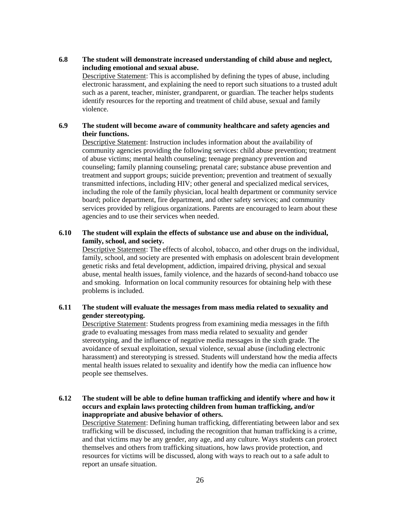#### **6.8 The student will demonstrate increased understanding of child abuse and neglect, including emotional and sexual abuse.**

Descriptive Statement: This is accomplished by defining the types of abuse, including electronic harassment, and explaining the need to report such situations to a trusted adult such as a parent, teacher, minister, grandparent, or guardian. The teacher helps students identify resources for the reporting and treatment of child abuse, sexual and family violence.

#### **6.9 The student will become aware of community healthcare and safety agencies and their functions.**

Descriptive Statement: Instruction includes information about the availability of community agencies providing the following services: child abuse prevention; treatment of abuse victims; mental health counseling; teenage pregnancy prevention and counseling; family planning counseling; prenatal care; substance abuse prevention and treatment and support groups; suicide prevention; prevention and treatment of sexually transmitted infections, including HIV; other general and specialized medical services, including the role of the family physician, local health department or community service board; police department, fire department, and other safety services; and community services provided by religious organizations. Parents are encouraged to learn about these agencies and to use their services when needed.

#### **6.10 The student will explain the effects of substance use and abuse on the individual, family, school, and society.**

Descriptive Statement: The effects of alcohol, tobacco, and other drugs on the individual, family, school, and society are presented with emphasis on adolescent brain development genetic risks and fetal development, addiction, impaired driving, physical and sexual abuse, mental health issues, family violence, and the hazards of second-hand tobacco use and smoking. Information on local community resources for obtaining help with these problems is included.

#### **6.11 The student will evaluate the messages from mass media related to sexuality and gender stereotyping.**

Descriptive Statement: Students progress from examining media messages in the fifth grade to evaluating messages from mass media related to sexuality and gender stereotyping, and the influence of negative media messages in the sixth grade. The avoidance of sexual exploitation, sexual violence, sexual abuse (including electronic harassment) and stereotyping is stressed. Students will understand how the media affects mental health issues related to sexuality and identify how the media can influence how people see themselves.

#### **6.12 The student will be able to define human trafficking and identify where and how it occurs and explain laws protecting children from human trafficking, and/or inappropriate and abusive behavior of others.**

Descriptive Statement: Defining human trafficking, differentiating between labor and sex trafficking will be discussed, including the recognition that human trafficking is a crime, and that victims may be any gender, any age, and any culture. Ways students can protect themselves and others from trafficking situations, how laws provide protection, and resources for victims will be discussed, along with ways to reach out to a safe adult to report an unsafe situation.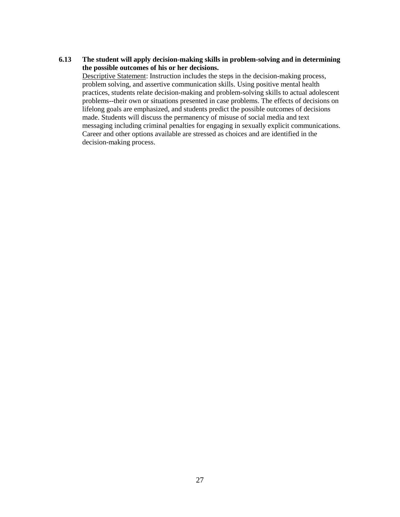#### **6.13 The student will apply decision-making skills in problem-solving and in determining the possible outcomes of his or her decisions.**

Descriptive Statement: Instruction includes the steps in the decision-making process, problem solving, and assertive communication skills. Using positive mental health practices, students relate decision-making and problem-solving skills to actual adolescent problems--their own or situations presented in case problems. The effects of decisions on lifelong goals are emphasized, and students predict the possible outcomes of decisions made. Students will discuss the permanency of misuse of social media and text messaging including criminal penalties for engaging in sexually explicit communications. Career and other options available are stressed as choices and are identified in the decision-making process.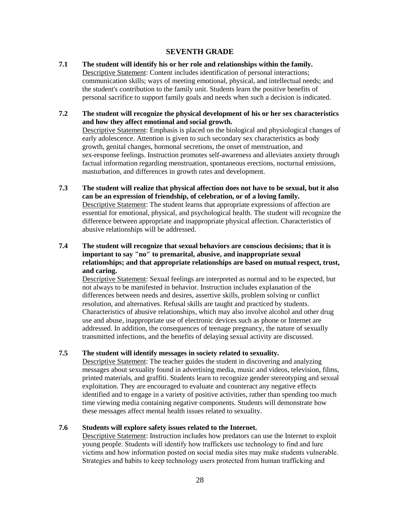#### **SEVENTH GRADE**

<span id="page-27-0"></span>**7.1 The student will identify his or her role and relationships within the family.** Descriptive Statement: Content includes identification of personal interactions; communication skills; ways of meeting emotional, physical, and intellectual needs; and the student's contribution to the family unit. Students learn the positive benefits of personal sacrifice to support family goals and needs when such a decision is indicated.

## **7.2 The student will recognize the physical development of his or her sex characteristics and how they affect emotional and social growth.**

Descriptive Statement: Emphasis is placed on the biological and physiological changes of early adolescence. Attention is given to such secondary sex characteristics as body growth, genital changes, hormonal secretions, the onset of menstruation, and sex-response feelings. Instruction promotes self-awareness and alleviates anxiety through factual information regarding menstruation, spontaneous erections, nocturnal emissions, masturbation, and differences in growth rates and development.

**7.3 The student will realize that physical affection does not have to be sexual, but it also can be an expression of friendship, of celebration, or of a loving family.** Descriptive Statement: The student learns that appropriate expressions of affection are essential for emotional, physical, and psychological health. The student will recognize the difference between appropriate and inappropriate physical affection. Characteristics of abusive relationships will be addressed.

#### **7.4 The student will recognize that sexual behaviors are conscious decisions; that it is important to say "no" to premarital, abusive, and inappropriate sexual relationships; and that appropriate relationships are based on mutual respect, trust, and caring.**

Descriptive Statement: Sexual feelings are interpreted as normal and to be expected, but not always to be manifested in behavior. Instruction includes explanation of the differences between needs and desires, assertive skills, problem solving or conflict resolution, and alternatives. Refusal skills are taught and practiced by students. Characteristics of abusive relationships, which may also involve alcohol and other drug use and abuse, inappropriate use of electronic devices such as phone or Internet are addressed. In addition, the consequences of teenage pregnancy, the nature of sexually transmitted infections, and the benefits of delaying sexual activity are discussed.

#### **7.5 The student will identify messages in society related to sexuality.**

Descriptive Statement: The teacher guides the student in discovering and analyzing messages about sexuality found in advertising media, music and videos, television, films, printed materials, and graffiti. Students learn to recognize gender stereotyping and sexual exploitation. They are encouraged to evaluate and counteract any negative effects identified and to engage in a variety of positive activities, rather than spending too much time viewing media containing negative components. Students will demonstrate how these messages affect mental health issues related to sexuality.

#### **7.6 Students will explore safety issues related to the Internet.**

Descriptive Statement: Instruction includes how predators can use the Internet to exploit young people. Students will identify how traffickers use technology to find and lure victims and how information posted on social media sites may make students vulnerable. Strategies and habits to keep technology users protected from human trafficking and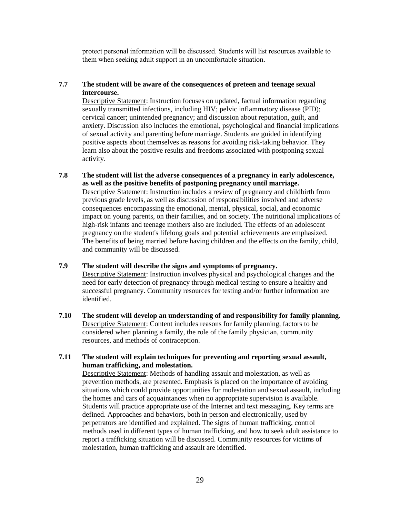protect personal information will be discussed. Students will list resources available to them when seeking adult support in an uncomfortable situation.

#### **7.7 The student will be aware of the consequences of preteen and teenage sexual intercourse.**

Descriptive Statement: Instruction focuses on updated, factual information regarding sexually transmitted infections, including HIV; pelvic inflammatory disease (PID); cervical cancer; unintended pregnancy; and discussion about reputation, guilt, and anxiety. Discussion also includes the emotional, psychological and financial implications of sexual activity and parenting before marriage. Students are guided in identifying positive aspects about themselves as reasons for avoiding risk-taking behavior. They learn also about the positive results and freedoms associated with postponing sexual activity.

- **7.8 The student will list the adverse consequences of a pregnancy in early adolescence, as well as the positive benefits of postponing pregnancy until marriage.** Descriptive Statement: Instruction includes a review of pregnancy and childbirth from previous grade levels, as well as discussion of responsibilities involved and adverse consequences encompassing the emotional, mental, physical, social, and economic impact on young parents, on their families, and on society. The nutritional implications of high-risk infants and teenage mothers also are included. The effects of an adolescent pregnancy on the student's lifelong goals and potential achievements are emphasized. The benefits of being married before having children and the effects on the family, child, and community will be discussed.
- **7.9 The student will describe the signs and symptoms of pregnancy.** Descriptive Statement: Instruction involves physical and psychological changes and the need for early detection of pregnancy through medical testing to ensure a healthy and successful pregnancy. Community resources for testing and/or further information are identified.
- **7.10 The student will develop an understanding of and responsibility for family planning.** Descriptive Statement: Content includes reasons for family planning, factors to be considered when planning a family, the role of the family physician, community resources, and methods of contraception.
- **7.11 The student will explain techniques for preventing and reporting sexual assault, human trafficking, and molestation.**

Descriptive Statement: Methods of handling assault and molestation, as well as prevention methods, are presented. Emphasis is placed on the importance of avoiding situations which could provide opportunities for molestation and sexual assault, including the homes and cars of acquaintances when no appropriate supervision is available. Students will practice appropriate use of the Internet and text messaging. Key terms are defined. Approaches and behaviors, both in person and electronically, used by perpetrators are identified and explained. The signs of human trafficking, control methods used in different types of human trafficking, and how to seek adult assistance to report a trafficking situation will be discussed. Community resources for victims of molestation, human trafficking and assault are identified.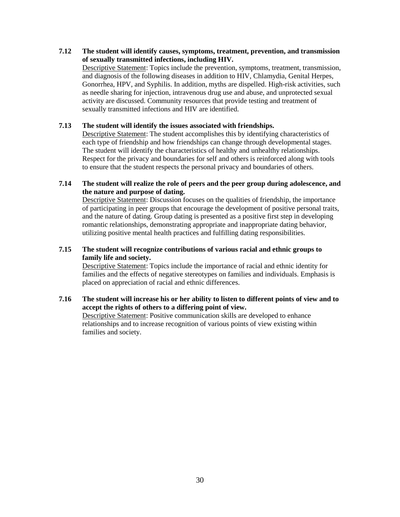**7.12 The student will identify causes, symptoms, treatment, prevention, and transmission of sexually transmitted infections, including HIV.** Descriptive Statement: Topics include the prevention, symptoms, treatment, transmission, and diagnosis of the following diseases in addition to HIV, Chlamydia, Genital Herpes, Gonorrhea, HPV, and Syphilis. In addition, myths are dispelled. High-risk activities, such as needle sharing for injection, intravenous drug use and abuse, and unprotected sexual activity are discussed. Community resources that provide testing and treatment of sexually transmitted infections and HIV are identified.

#### **7.13 The student will identify the issues associated with friendships.**

Descriptive Statement: The student accomplishes this by identifying characteristics of each type of friendship and how friendships can change through developmental stages. The student will identify the characteristics of healthy and unhealthy relationships. Respect for the privacy and boundaries for self and others is reinforced along with tools to ensure that the student respects the personal privacy and boundaries of others.

#### **7.14 The student will realize the role of peers and the peer group during adolescence, and the nature and purpose of dating.**

Descriptive Statement: Discussion focuses on the qualities of friendship, the importance of participating in peer groups that encourage the development of positive personal traits, and the nature of dating. Group dating is presented as a positive first step in developing romantic relationships, demonstrating appropriate and inappropriate dating behavior, utilizing positive mental health practices and fulfilling dating responsibilities.

#### **7.15 The student will recognize contributions of various racial and ethnic groups to family life and society.**

Descriptive Statement: Topics include the importance of racial and ethnic identity for families and the effects of negative stereotypes on families and individuals. Emphasis is placed on appreciation of racial and ethnic differences.

## **7.16 The student will increase his or her ability to listen to different points of view and to accept the rights of others to a differing point of view.**

Descriptive Statement: Positive communication skills are developed to enhance relationships and to increase recognition of various points of view existing within families and society.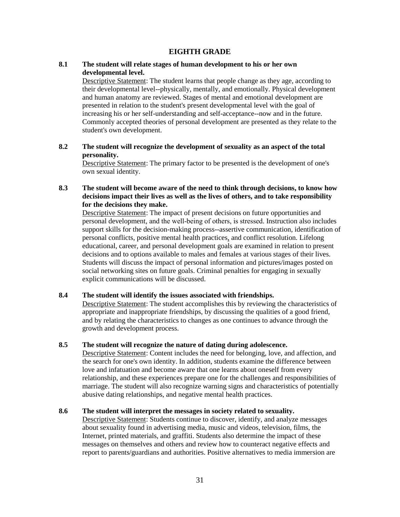#### **EIGHTH GRADE**

#### <span id="page-30-0"></span>**8.1 The student will relate stages of human development to his or her own developmental level.**

Descriptive Statement: The student learns that people change as they age, according to their developmental level--physically, mentally, and emotionally. Physical development and human anatomy are reviewed. Stages of mental and emotional development are presented in relation to the student's present developmental level with the goal of increasing his or her self-understanding and self-acceptance--now and in the future. Commonly accepted theories of personal development are presented as they relate to the student's own development.

#### **8.2 The student will recognize the development of sexuality as an aspect of the total personality.**

Descriptive Statement: The primary factor to be presented is the development of one's own sexual identity.

#### **8.3 The student will become aware of the need to think through decisions, to know how decisions impact their lives as well as the lives of others, and to take responsibility for the decisions they make.**

Descriptive Statement: The impact of present decisions on future opportunities and personal development, and the well-being of others, is stressed. Instruction also includes support skills for the decision-making process--assertive communication, identification of personal conflicts, positive mental health practices, and conflict resolution. Lifelong educational, career, and personal development goals are examined in relation to present decisions and to options available to males and females at various stages of their lives. Students will discuss the impact of personal information and pictures/images posted on social networking sites on future goals. Criminal penalties for engaging in sexually explicit communications will be discussed.

#### **8.4 The student will identify the issues associated with friendships.**

Descriptive Statement: The student accomplishes this by reviewing the characteristics of appropriate and inappropriate friendships, by discussing the qualities of a good friend, and by relating the characteristics to changes as one continues to advance through the growth and development process.

#### **8.5 The student will recognize the nature of dating during adolescence.**

Descriptive Statement: Content includes the need for belonging, love, and affection, and the search for one's own identity. In addition, students examine the difference between love and infatuation and become aware that one learns about oneself from every relationship, and these experiences prepare one for the challenges and responsibilities of marriage. The student will also recognize warning signs and characteristics of potentially abusive dating relationships, and negative mental health practices.

#### **8.6 The student will interpret the messages in society related to sexuality.**

Descriptive Statement: Students continue to discover, identify, and analyze messages about sexuality found in advertising media, music and videos, television, films, the Internet, printed materials, and graffiti. Students also determine the impact of these messages on themselves and others and review how to counteract negative effects and report to parents/guardians and authorities. Positive alternatives to media immersion are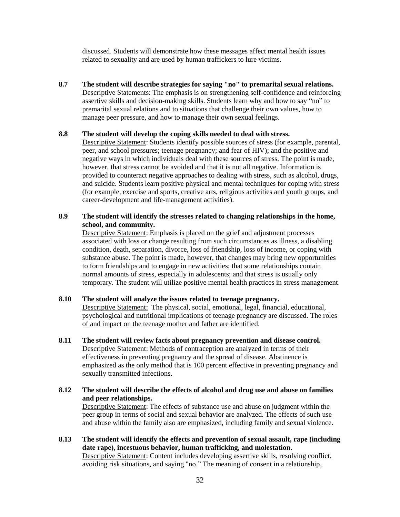discussed. Students will demonstrate how these messages affect mental health issues related to sexuality and are used by human traffickers to lure victims.

**8.7 The student will describe strategies for saying "no" to premarital sexual relations.**  Descriptive Statements: The emphasis is on strengthening self-confidence and reinforcing assertive skills and decision-making skills. Students learn why and how to say "no" to premarital sexual relations and to situations that challenge their own values, how to manage peer pressure, and how to manage their own sexual feelings.

#### **8.8 The student will develop the coping skills needed to deal with stress.**

Descriptive Statement: Students identify possible sources of stress (for example, parental, peer, and school pressures; teenage pregnancy; and fear of HIV); and the positive and negative ways in which individuals deal with these sources of stress. The point is made, however, that stress cannot be avoided and that it is not all negative. Information is provided to counteract negative approaches to dealing with stress, such as alcohol, drugs, and suicide. Students learn positive physical and mental techniques for coping with stress (for example, exercise and sports, creative arts, religious activities and youth groups, and career-development and life-management activities).

#### **8.9 The student will identify the stresses related to changing relationships in the home, school, and community.**

Descriptive Statement: Emphasis is placed on the grief and adjustment processes associated with loss or change resulting from such circumstances as illness, a disabling condition, death, separation, divorce, loss of friendship, loss of income, or coping with substance abuse. The point is made, however, that changes may bring new opportunities to form friendships and to engage in new activities; that some relationships contain normal amounts of stress, especially in adolescents; and that stress is usually only temporary. The student will utilize positive mental health practices in stress management.

#### **8.10 The student will analyze the issues related to teenage pregnancy.**

Descriptive Statement: The physical, social, emotional, legal, financial, educational, psychological and nutritional implications of teenage pregnancy are discussed. The roles of and impact on the teenage mother and father are identified.

- **8.11 The student will review facts about pregnancy prevention and disease control.** Descriptive Statement: Methods of contraception are analyzed in terms of their effectiveness in preventing pregnancy and the spread of disease. Abstinence is emphasized as the only method that is 100 percent effective in preventing pregnancy and sexually transmitted infections.
- **8.12 The student will describe the effects of alcohol and drug use and abuse on families and peer relationships.**

Descriptive Statement: The effects of substance use and abuse on judgment within the peer group in terms of social and sexual behavior are analyzed. The effects of such use and abuse within the family also are emphasized, including family and sexual violence.

**8.13 The student will identify the effects and prevention of sexual assault, rape (including date rape), incestuous behavior, human trafficking**, **and molestation.**  Descriptive Statement: Content includes developing assertive skills, resolving conflict, avoiding risk situations, and saying "no." The meaning of consent in a relationship,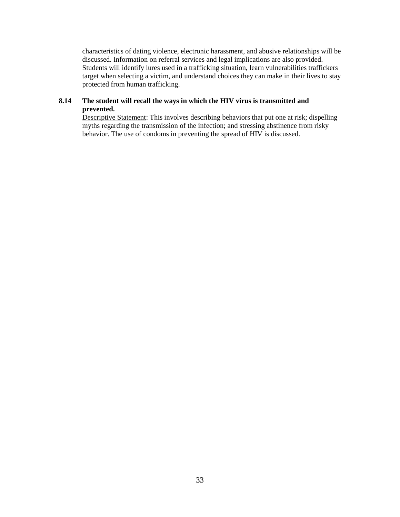characteristics of dating violence, electronic harassment, and abusive relationships will be discussed. Information on referral services and legal implications are also provided. Students will identify lures used in a trafficking situation, learn vulnerabilities traffickers target when selecting a victim, and understand choices they can make in their lives to stay protected from human trafficking.

#### **8.14 The student will recall the ways in which the HIV virus is transmitted and prevented.**

Descriptive Statement: This involves describing behaviors that put one at risk; dispelling myths regarding the transmission of the infection; and stressing abstinence from risky behavior. The use of condoms in preventing the spread of HIV is discussed.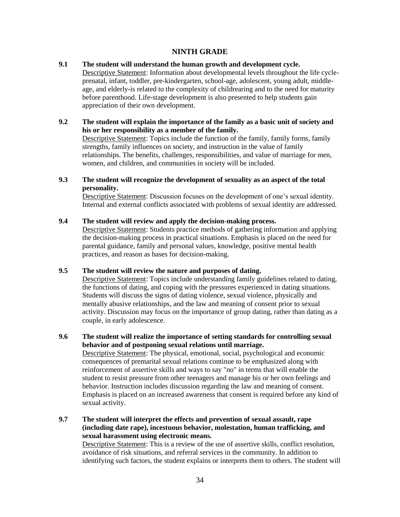#### **NINTH GRADE**

#### <span id="page-33-0"></span>**9.1 The student will understand the human growth and development cycle.**

Descriptive Statement: Information about developmental levels throughout the life cycleprenatal, infant, toddler, pre-kindergarten, school-age, adolescent, young adult, middleage, and elderly-is related to the complexity of childrearing and to the need for maturity before parenthood. Life-stage development is also presented to help students gain appreciation of their own development.

#### **9.2 The student will explain the importance of the family as a basic unit of society and his or her responsibility as a member of the family.**

Descriptive Statement: Topics include the function of the family, family forms, family strengths, family influences on society, and instruction in the value of family relationships. The benefits, challenges, responsibilities, and value of marriage for men, women, and children, and communities in society will be included.

#### **9.3 The student will recognize the development of sexuality as an aspect of the total personality.**

Descriptive Statement: Discussion focuses on the development of one's sexual identity. Internal and external conflicts associated with problems of sexual identity are addressed.

#### **9.4 The student will review and apply the decision-making process.**

Descriptive Statement: Students practice methods of gathering information and applying the decision-making process in practical situations. Emphasis is placed on the need for parental guidance, family and personal values, knowledge, positive mental health practices, and reason as bases for decision-making.

#### **9.5 The student will review the nature and purposes of dating.**

Descriptive Statement: Topics include understanding family guidelines related to dating, the functions of dating, and coping with the pressures experienced in dating situations. Students will discuss the signs of dating violence, sexual violence, physically and mentally abusive relationships, and the law and meaning of consent prior to sexual activity. Discussion may focus on the importance of group dating, rather than dating as a couple, in early adolescence.

#### **9.6 The student will realize the importance of setting standards for controlling sexual behavior and of postponing sexual relations until marriage.**

Descriptive Statement: The physical, emotional, social, psychological and economic consequences of premarital sexual relations continue to be emphasized along with reinforcement of assertive skills and ways to say "no" in terms that will enable the student to resist pressure from other teenagers and manage his or her own feelings and behavior. Instruction includes discussion regarding the law and meaning of consent. Emphasis is placed on an increased awareness that consent is required before any kind of sexual activity.

#### **9.7 The student will interpret the effects and prevention of sexual assault, rape (including date rape), incestuous behavior, molestation, human trafficking, and sexual harassment using electronic means.**

Descriptive Statement: This is a review of the use of assertive skills, conflict resolution, avoidance of risk situations, and referral services in the community. In addition to identifying such factors, the student explains or interprets them to others. The student will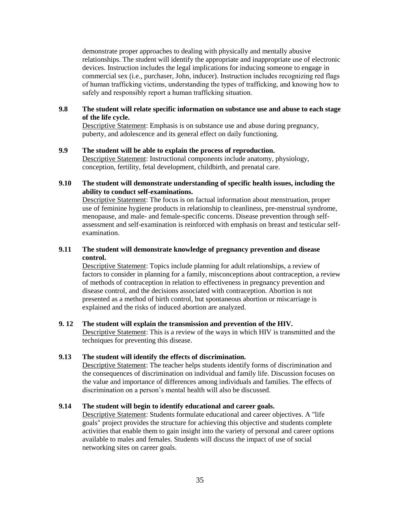demonstrate proper approaches to dealing with physically and mentally abusive relationships. The student will identify the appropriate and inappropriate use of electronic devices. Instruction includes the legal implications for inducing someone to engage in commercial sex (i.e., purchaser, John, inducer). Instruction includes recognizing red flags of human trafficking victims, understanding the types of trafficking, and knowing how to safely and responsibly report a human trafficking situation.

#### **9.8 The student will relate specific information on substance use and abuse to each stage of the life cycle.**

Descriptive Statement: Emphasis is on substance use and abuse during pregnancy, puberty, and adolescence and its general effect on daily functioning.

#### **9.9 The student will be able to explain the process of reproduction.**

Descriptive Statement: Instructional components include anatomy, physiology, conception, fertility, fetal development, childbirth, and prenatal care.

#### **9.10 The student will demonstrate understanding of specific health issues, including the ability to conduct self-examinations.**

Descriptive Statement: The focus is on factual information about menstruation, proper use of feminine hygiene products in relationship to cleanliness, pre-menstrual syndrome, menopause, and male- and female-specific concerns. Disease prevention through selfassessment and self-examination is reinforced with emphasis on breast and testicular selfexamination.

#### **9.11 The student will demonstrate knowledge of pregnancy prevention and disease control.**

Descriptive Statement: Topics include planning for adult relationships, a review of factors to consider in planning for a family, misconceptions about contraception, a review of methods of contraception in relation to effectiveness in pregnancy prevention and disease control, and the decisions associated with contraception. Abortion is not presented as a method of birth control, but spontaneous abortion or miscarriage is explained and the risks of induced abortion are analyzed.

#### **9. 12 The student will explain the transmission and prevention of the HIV.**

Descriptive Statement: This is a review of the ways in which HIV is transmitted and the techniques for preventing this disease.

#### **9.13 The student will identify the effects of discrimination.**

Descriptive Statement: The teacher helps students identify forms of discrimination and the consequences of discrimination on individual and family life. Discussion focuses on the value and importance of differences among individuals and families. The effects of discrimination on a person's mental health will also be discussed.

#### **9.14 The student will begin to identify educational and career goals.**

Descriptive Statement: Students formulate educational and career objectives. A "life goals" project provides the structure for achieving this objective and students complete activities that enable them to gain insight into the variety of personal and career options available to males and females. Students will discuss the impact of use of social networking sites on career goals.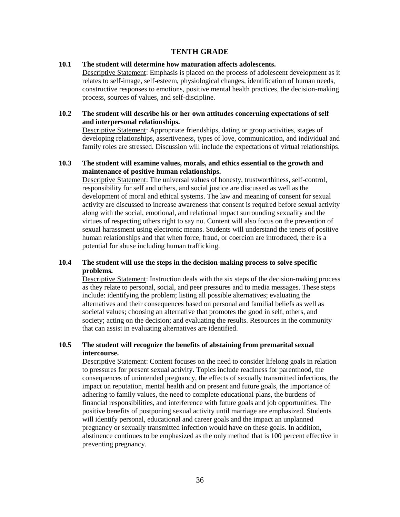#### **TENTH GRADE**

#### <span id="page-35-0"></span>**10.1 The student will determine how maturation affects adolescents.**

Descriptive Statement: Emphasis is placed on the process of adolescent development as it relates to self-image, self-esteem, physiological changes, identification of human needs, constructive responses to emotions, positive mental health practices, the decision-making process, sources of values, and self-discipline.

#### **10.2 The student will describe his or her own attitudes concerning expectations of self and interpersonal relationships.**

Descriptive Statement: Appropriate friendships, dating or group activities, stages of developing relationships, assertiveness, types of love, communication, and individual and family roles are stressed. Discussion will include the expectations of virtual relationships.

#### **10.3 The student will examine values, morals, and ethics essential to the growth and maintenance of positive human relationships.**

Descriptive Statement: The universal values of honesty, trustworthiness, self-control, responsibility for self and others, and social justice are discussed as well as the development of moral and ethical systems. The law and meaning of consent for sexual activity are discussed to increase awareness that consent is required before sexual activity along with the social, emotional, and relational impact surrounding sexuality and the virtues of respecting others right to say no. Content will also focus on the prevention of sexual harassment using electronic means. Students will understand the tenets of positive human relationships and that when force, fraud, or coercion are introduced, there is a potential for abuse including human trafficking.

#### **10.4 The student will use the steps in the decision-making process to solve specific problems.**

Descriptive Statement: Instruction deals with the six steps of the decision-making process as they relate to personal, social, and peer pressures and to media messages. These steps include: identifying the problem; listing all possible alternatives; evaluating the alternatives and their consequences based on personal and familial beliefs as well as societal values; choosing an alternative that promotes the good in self, others, and society; acting on the decision; and evaluating the results. Resources in the community that can assist in evaluating alternatives are identified.

#### **10.5 The student will recognize the benefits of abstaining from premarital sexual intercourse.**

Descriptive Statement: Content focuses on the need to consider lifelong goals in relation to pressures for present sexual activity. Topics include readiness for parenthood, the consequences of unintended pregnancy, the effects of sexually transmitted infections, the impact on reputation, mental health and on present and future goals, the importance of adhering to family values, the need to complete educational plans, the burdens of financial responsibilities, and interference with future goals and job opportunities. The positive benefits of postponing sexual activity until marriage are emphasized. Students will identify personal, educational and career goals and the impact an unplanned pregnancy or sexually transmitted infection would have on these goals. In addition, abstinence continues to be emphasized as the only method that is 100 percent effective in preventing pregnancy.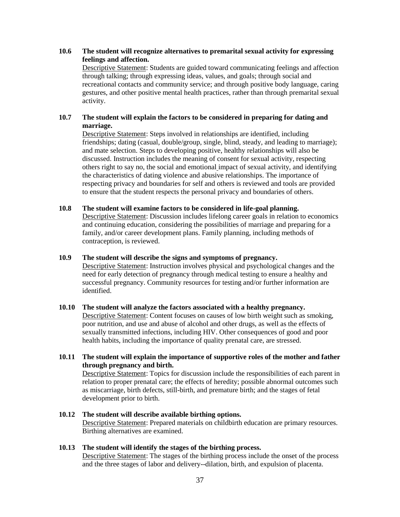#### **10.6 The student will recognize alternatives to premarital sexual activity for expressing feelings and affection.**

Descriptive Statement: Students are guided toward communicating feelings and affection through talking; through expressing ideas, values, and goals; through social and recreational contacts and community service; and through positive body language, caring gestures, and other positive mental health practices, rather than through premarital sexual activity.

#### **10.7 The student will explain the factors to be considered in preparing for dating and marriage.**

Descriptive Statement: Steps involved in relationships are identified, including friendships; dating (casual, double/group, single, blind, steady, and leading to marriage); and mate selection. Steps to developing positive, healthy relationships will also be discussed. Instruction includes the meaning of consent for sexual activity, respecting others right to say no, the social and emotional impact of sexual activity, and identifying the characteristics of dating violence and abusive relationships. The importance of respecting privacy and boundaries for self and others is reviewed and tools are provided to ensure that the student respects the personal privacy and boundaries of others.

#### **10.8 The student will examine factors to be considered in life-goal planning.**

Descriptive Statement: Discussion includes lifelong career goals in relation to economics and continuing education, considering the possibilities of marriage and preparing for a family, and/or career development plans. Family planning, including methods of contraception, is reviewed.

#### **10.9 The student will describe the signs and symptoms of pregnancy.**

Descriptive Statement: Instruction involves physical and psychological changes and the need for early detection of pregnancy through medical testing to ensure a healthy and successful pregnancy. Community resources for testing and/or further information are identified.

#### **10.10 The student will analyze the factors associated with a healthy pregnancy.**  Descriptive Statement: Content focuses on causes of low birth weight such as smoking, poor nutrition, and use and abuse of alcohol and other drugs, as well as the effects of sexually transmitted infections, including HIV. Other consequences of good and poor health habits, including the importance of quality prenatal care, are stressed.

**10.11 The student will explain the importance of supportive roles of the mother and father through pregnancy and birth.**  Descriptive Statement: Topics for discussion include the responsibilities of each parent in relation to proper prenatal care; the effects of heredity; possible abnormal outcomes such

as miscarriage, birth defects, still-birth, and premature birth; and the stages of fetal development prior to birth.

#### **10.12 The student will describe available birthing options.**  Descriptive Statement: Prepared materials on childbirth education are primary resources. Birthing alternatives are examined.

#### **10.13 The student will identify the stages of the birthing process.**

Descriptive Statement: The stages of the birthing process include the onset of the process and the three stages of labor and delivery--dilation, birth, and expulsion of placenta.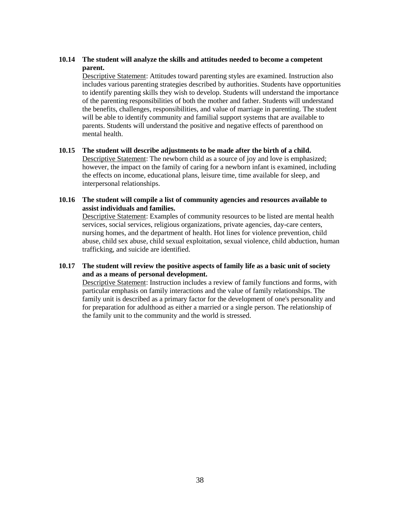#### **10.14 The student will analyze the skills and attitudes needed to become a competent parent.**

Descriptive Statement: Attitudes toward parenting styles are examined. Instruction also includes various parenting strategies described by authorities. Students have opportunities to identify parenting skills they wish to develop. Students will understand the importance of the parenting responsibilities of both the mother and father. Students will understand the benefits, challenges, responsibilities, and value of marriage in parenting. The student will be able to identify community and familial support systems that are available to parents. Students will understand the positive and negative effects of parenthood on mental health.

#### **10.15 The student will describe adjustments to be made after the birth of a child.**

Descriptive Statement: The newborn child as a source of joy and love is emphasized; however, the impact on the family of caring for a newborn infant is examined, including the effects on income, educational plans, leisure time, time available for sleep, and interpersonal relationships.

#### **10.16 The student will compile a list of community agencies and resources available to assist individuals and families.**

Descriptive Statement: Examples of community resources to be listed are mental health services, social services, religious organizations, private agencies, day-care centers, nursing homes, and the department of health. Hot lines for violence prevention, child abuse, child sex abuse, child sexual exploitation, sexual violence, child abduction, human trafficking, and suicide are identified.

#### **10.17 The student will review the positive aspects of family life as a basic unit of society and as a means of personal development.**

Descriptive Statement: Instruction includes a review of family functions and forms, with particular emphasis on family interactions and the value of family relationships. The family unit is described as a primary factor for the development of one's personality and for preparation for adulthood as either a married or a single person. The relationship of the family unit to the community and the world is stressed.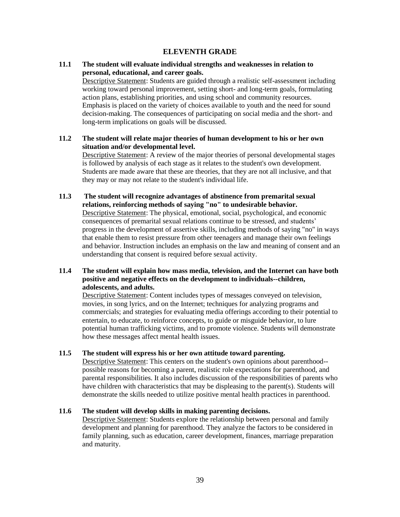#### **ELEVENTH GRADE**

#### <span id="page-38-0"></span>**11.1 The student will evaluate individual strengths and weaknesses in relation to personal, educational, and career goals.**

Descriptive Statement: Students are guided through a realistic self-assessment including working toward personal improvement, setting short- and long-term goals, formulating action plans, establishing priorities, and using school and community resources. Emphasis is placed on the variety of choices available to youth and the need for sound decision-making. The consequences of participating on social media and the short- and long-term implications on goals will be discussed.

## **11.2 The student will relate major theories of human development to his or her own situation and/or developmental level.**

Descriptive Statement: A review of the major theories of personal developmental stages is followed by analysis of each stage as it relates to the student's own development. Students are made aware that these are theories, that they are not all inclusive, and that they may or may not relate to the student's individual life.

#### **11.3 The student will recognize advantages of abstinence from premarital sexual relations, reinforcing methods of saying "no" to undesirable behavior.**  Descriptive Statement: The physical, emotional, social, psychological, and economic consequences of premarital sexual relations continue to be stressed, and students' progress in the development of assertive skills, including methods of saying "no" in ways that enable them to resist pressure from other teenagers and manage their own feelings and behavior. Instruction includes an emphasis on the law and meaning of consent and an understanding that consent is required before sexual activity.

#### **11.4 The student will explain how mass media, television, and the Internet can have both positive and negative effects on the development to individuals--children, adolescents, and adults.**

Descriptive Statement: Content includes types of messages conveyed on television, movies, in song lyrics, and on the Internet; techniques for analyzing programs and commercials; and strategies for evaluating media offerings according to their potential to entertain, to educate, to reinforce concepts, to guide or misguide behavior, to lure potential human trafficking victims, and to promote violence. Students will demonstrate how these messages affect mental health issues.

#### **11.5 The student will express his or her own attitude toward parenting.**

Descriptive Statement: This centers on the student's own opinions about parenthood- possible reasons for becoming a parent, realistic role expectations for parenthood, and parental responsibilities. It also includes discussion of the responsibilities of parents who have children with characteristics that may be displeasing to the parent(s). Students will demonstrate the skills needed to utilize positive mental health practices in parenthood.

#### **11.6 The student will develop skills in making parenting decisions.**

Descriptive Statement: Students explore the relationship between personal and family development and planning for parenthood. They analyze the factors to be considered in family planning, such as education, career development, finances, marriage preparation and maturity.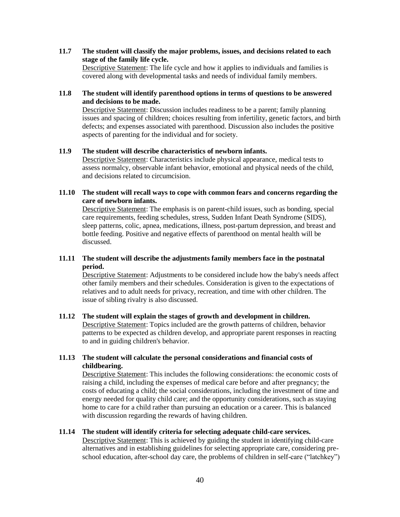**11.7 The student will classify the major problems, issues, and decisions related to each stage of the family life cycle.**  Descriptive Statement: The life cycle and how it applies to individuals and families is covered along with developmental tasks and needs of individual family members.

#### **11.8 The student will identify parenthood options in terms of questions to be answered and decisions to be made.**

Descriptive Statement: Discussion includes readiness to be a parent; family planning issues and spacing of children; choices resulting from infertility, genetic factors, and birth defects; and expenses associated with parenthood. Discussion also includes the positive aspects of parenting for the individual and for society.

#### **11.9 The student will describe characteristics of newborn infants.**

Descriptive Statement: Characteristics include physical appearance, medical tests to assess normalcy, observable infant behavior, emotional and physical needs of the child, and decisions related to circumcision.

#### **11.10 The student will recall ways to cope with common fears and concerns regarding the care of newborn infants.**

Descriptive Statement: The emphasis is on parent-child issues, such as bonding, special care requirements, feeding schedules, stress, Sudden Infant Death Syndrome (SIDS), sleep patterns, colic, apnea, medications, illness, post-partum depression, and breast and bottle feeding. Positive and negative effects of parenthood on mental health will be discussed.

#### **11.11 The student will describe the adjustments family members face in the postnatal period.**

Descriptive Statement: Adjustments to be considered include how the baby's needs affect other family members and their schedules. Consideration is given to the expectations of relatives and to adult needs for privacy, recreation, and time with other children. The issue of sibling rivalry is also discussed.

#### **11.12 The student will explain the stages of growth and development in children.**  Descriptive Statement: Topics included are the growth patterns of children, behavior patterns to be expected as children develop, and appropriate parent responses in reacting to and in guiding children's behavior.

#### **11.13 The student will calculate the personal considerations and financial costs of childbearing.**

Descriptive Statement: This includes the following considerations: the economic costs of raising a child, including the expenses of medical care before and after pregnancy; the costs of educating a child; the social considerations, including the investment of time and energy needed for quality child care; and the opportunity considerations, such as staying home to care for a child rather than pursuing an education or a career. This is balanced with discussion regarding the rewards of having children.

#### **11.14 The student will identify criteria for selecting adequate child-care services.**

Descriptive Statement: This is achieved by guiding the student in identifying child-care alternatives and in establishing guidelines for selecting appropriate care, considering preschool education, after-school day care, the problems of children in self-care ("latchkey")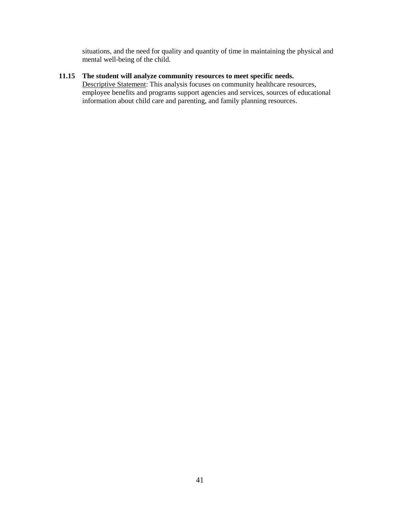situations, and the need for quality and quantity of time in maintaining the physical and mental well-being of the child.

## **11.15 The student will analyze community resources to meet specific needs.**

Descriptive Statement: This analysis focuses on community healthcare resources, employee benefits and programs support agencies and services, sources of educational information about child care and parenting, and family planning resources.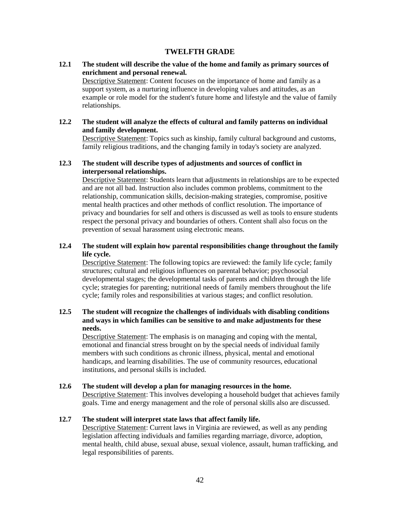#### **TWELFTH GRADE**

#### <span id="page-41-0"></span>**12.1 The student will describe the value of the home and family as primary sources of enrichment and personal renewal.**

Descriptive Statement: Content focuses on the importance of home and family as a support system, as a nurturing influence in developing values and attitudes, as an example or role model for the student's future home and lifestyle and the value of family relationships.

#### **12.2 The student will analyze the effects of cultural and family patterns on individual and family development.**

Descriptive Statement: Topics such as kinship, family cultural background and customs, family religious traditions, and the changing family in today's society are analyzed.

#### **12.3 The student will describe types of adjustments and sources of conflict in interpersonal relationships.**

Descriptive Statement: Students learn that adjustments in relationships are to be expected and are not all bad. Instruction also includes common problems, commitment to the relationship, communication skills, decision-making strategies, compromise, positive mental health practices and other methods of conflict resolution. The importance of privacy and boundaries for self and others is discussed as well as tools to ensure students respect the personal privacy and boundaries of others. Content shall also focus on the prevention of sexual harassment using electronic means.

#### **12.4 The student will explain how parental responsibilities change throughout the family life cycle.**

Descriptive Statement: The following topics are reviewed: the family life cycle; family structures; cultural and religious influences on parental behavior; psychosocial developmental stages; the developmental tasks of parents and children through the life cycle; strategies for parenting; nutritional needs of family members throughout the life cycle; family roles and responsibilities at various stages; and conflict resolution.

#### **12.5 The student will recognize the challenges of individuals with disabling conditions and ways in which families can be sensitive to and make adjustments for these needs.**

Descriptive Statement: The emphasis is on managing and coping with the mental, emotional and financial stress brought on by the special needs of individual family members with such conditions as chronic illness, physical, mental and emotional handicaps, and learning disabilities. The use of community resources, educational institutions, and personal skills is included.

#### **12.6 The student will develop a plan for managing resources in the home.**

Descriptive Statement: This involves developing a household budget that achieves family goals. Time and energy management and the role of personal skills also are discussed.

#### **12.7 The student will interpret state laws that affect family life.**

Descriptive Statement: Current laws in Virginia are reviewed, as well as any pending legislation affecting individuals and families regarding marriage, divorce, adoption, mental health, child abuse, sexual abuse, sexual violence, assault, human trafficking, and legal responsibilities of parents.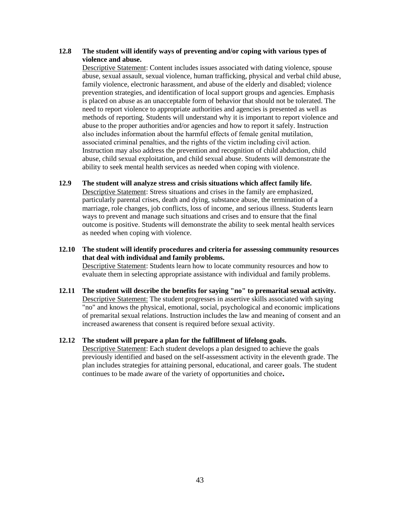#### **12.8 The student will identify ways of preventing and/or coping with various types of violence and abuse.**

Descriptive Statement: Content includes issues associated with dating violence, spouse abuse, sexual assault, sexual violence, human trafficking, physical and verbal child abuse, family violence, electronic harassment, and abuse of the elderly and disabled; violence prevention strategies, and identification of local support groups and agencies. Emphasis is placed on abuse as an unacceptable form of behavior that should not be tolerated. The need to report violence to appropriate authorities and agencies is presented as well as methods of reporting. Students will understand why it is important to report violence and abuse to the proper authorities and/or agencies and how to report it safely. Instruction also includes information about the harmful effects of female genital mutilation, associated criminal penalties, and the rights of the victim including civil action. Instruction may also address the prevention and recognition of child abduction, child abuse, child sexual exploitation, and child sexual abuse. Students will demonstrate the ability to seek mental health services as needed when coping with violence.

- **12.9 The student will analyze stress and crisis situations which affect family life.**  Descriptive Statement: Stress situations and crises in the family are emphasized, particularly parental crises, death and dying, substance abuse, the termination of a marriage, role changes, job conflicts, loss of income, and serious illness. Students learn ways to prevent and manage such situations and crises and to ensure that the final outcome is positive. Students will demonstrate the ability to seek mental health services as needed when coping with violence.
- **12.10 The student will identify procedures and criteria for assessing community resources that deal with individual and family problems.**  Descriptive Statement: Students learn how to locate community resources and how to evaluate them in selecting appropriate assistance with individual and family problems.
- **12.11 The student will describe the benefits for saying "no" to premarital sexual activity.**  Descriptive Statement: The student progresses in assertive skills associated with saying "no" and knows the physical, emotional, social, psychological and economic implications of premarital sexual relations. Instruction includes the law and meaning of consent and an increased awareness that consent is required before sexual activity.

#### **12.12 The student will prepare a plan for the fulfillment of lifelong goals.**

Descriptive Statement: Each student develops a plan designed to achieve the goals previously identified and based on the self-assessment activity in the eleventh grade. The plan includes strategies for attaining personal, educational, and career goals. The student continues to be made aware of the variety of opportunities and choice**.**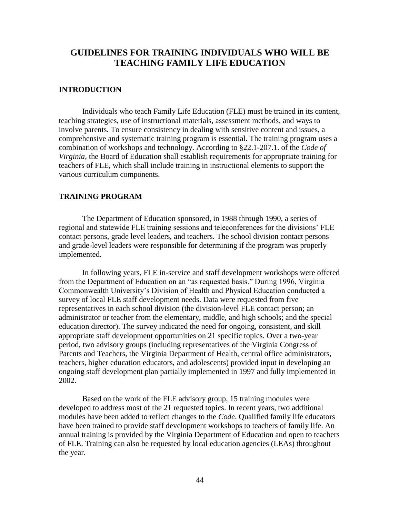## <span id="page-43-0"></span>**GUIDELINES FOR TRAINING INDIVIDUALS WHO WILL BE TEACHING FAMILY LIFE EDUCATION**

#### **INTRODUCTION**

Individuals who teach Family Life Education (FLE) must be trained in its content, teaching strategies, use of instructional materials, assessment methods, and ways to involve parents. To ensure consistency in dealing with sensitive content and issues, a comprehensive and systematic training program is essential. The training program uses a combination of workshops and technology. According to §22.1-207.1. of the *Code of Virginia*, the Board of Education shall establish requirements for appropriate training for teachers of FLE, which shall include training in instructional elements to support the various curriculum components.

#### **TRAINING PROGRAM**

The Department of Education sponsored, in 1988 through 1990, a series of regional and statewide FLE training sessions and teleconferences for the divisions' FLE contact persons, grade level leaders, and teachers. The school division contact persons and grade-level leaders were responsible for determining if the program was properly implemented.

In following years, FLE in-service and staff development workshops were offered from the Department of Education on an "as requested basis." During 1996, Virginia Commonwealth University's Division of Health and Physical Education conducted a survey of local FLE staff development needs. Data were requested from five representatives in each school division (the division-level FLE contact person; an administrator or teacher from the elementary, middle, and high schools; and the special education director). The survey indicated the need for ongoing, consistent, and skill appropriate staff development opportunities on 21 specific topics. Over a two-year period, two advisory groups (including representatives of the Virginia Congress of Parents and Teachers, the Virginia Department of Health, central office administrators, teachers, higher education educators, and adolescents) provided input in developing an ongoing staff development plan partially implemented in 1997 and fully implemented in 2002.

Based on the work of the FLE advisory group, 15 training modules were developed to address most of the 21 requested topics. In recent years, two additional modules have been added to reflect changes to the *Code*. Qualified family life educators have been trained to provide staff development workshops to teachers of family life. An annual training is provided by the Virginia Department of Education and open to teachers of FLE. Training can also be requested by local education agencies (LEAs) throughout the year.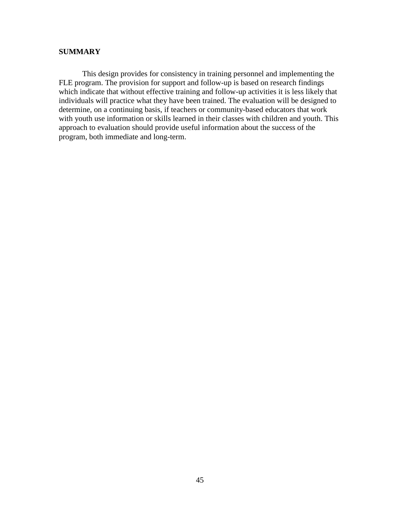#### **SUMMARY**

This design provides for consistency in training personnel and implementing the FLE program. The provision for support and follow-up is based on research findings which indicate that without effective training and follow-up activities it is less likely that individuals will practice what they have been trained. The evaluation will be designed to determine, on a continuing basis, if teachers or community-based educators that work with youth use information or skills learned in their classes with children and youth. This approach to evaluation should provide useful information about the success of the program, both immediate and long-term.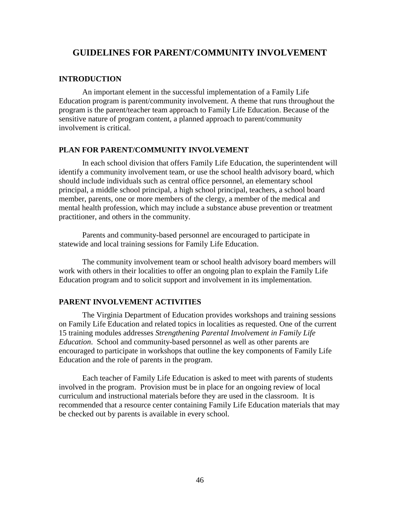## <span id="page-45-0"></span>**GUIDELINES FOR PARENT/COMMUNITY INVOLVEMENT**

#### **INTRODUCTION**

An important element in the successful implementation of a Family Life Education program is parent/community involvement. A theme that runs throughout the program is the parent/teacher team approach to Family Life Education. Because of the sensitive nature of program content, a planned approach to parent/community involvement is critical.

#### **PLAN FOR PARENT/COMMUNITY INVOLVEMENT**

In each school division that offers Family Life Education, the superintendent will identify a community involvement team, or use the school health advisory board, which should include individuals such as central office personnel, an elementary school principal, a middle school principal, a high school principal, teachers, a school board member, parents, one or more members of the clergy, a member of the medical and mental health profession, which may include a substance abuse prevention or treatment practitioner, and others in the community.

Parents and community-based personnel are encouraged to participate in statewide and local training sessions for Family Life Education.

The community involvement team or school health advisory board members will work with others in their localities to offer an ongoing plan to explain the Family Life Education program and to solicit support and involvement in its implementation.

#### **PARENT INVOLVEMENT ACTIVITIES**

The Virginia Department of Education provides workshops and training sessions on Family Life Education and related topics in localities as requested. One of the current 15 training modules addresses *Strengthening Parental Involvement in Family Life Education*. School and community-based personnel as well as other parents are encouraged to participate in workshops that outline the key components of Family Life Education and the role of parents in the program.

Each teacher of Family Life Education is asked to meet with parents of students involved in the program. Provision must be in place for an ongoing review of local curriculum and instructional materials before they are used in the classroom. It is recommended that a resource center containing Family Life Education materials that may be checked out by parents is available in every school.